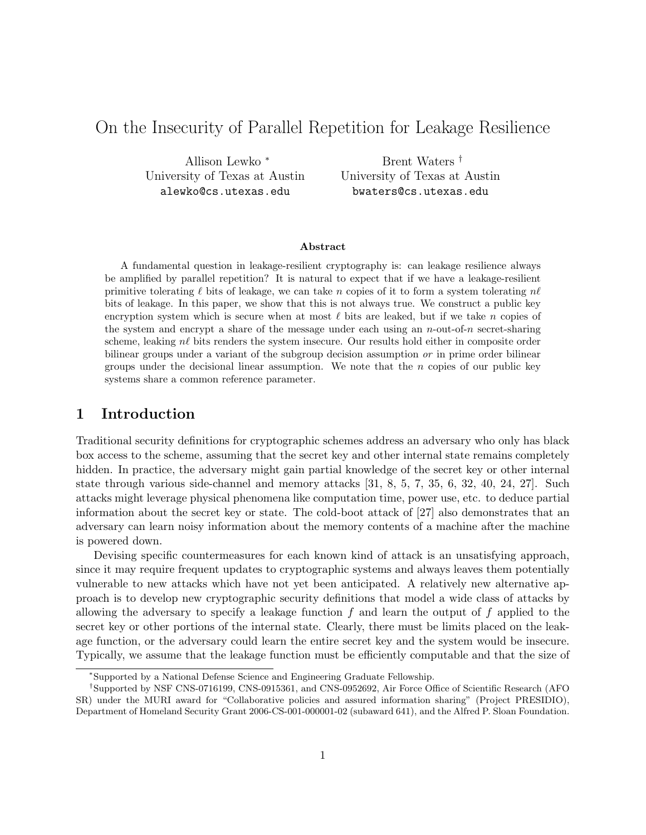# On the Insecurity of Parallel Repetition for Leakage Resilience

Allison Lewko <sup>∗</sup> University of Texas at Austin alewko@cs.utexas.edu

Brent Waters † University of Texas at Austin bwaters@cs.utexas.edu

#### Abstract

A fundamental question in leakage-resilient cryptography is: can leakage resilience always be amplified by parallel repetition? It is natural to expect that if we have a leakage-resilient primitive tolerating  $\ell$  bits of leakage, we can take n copies of it to form a system tolerating  $n\ell$ bits of leakage. In this paper, we show that this is not always true. We construct a public key encryption system which is secure when at most  $\ell$  bits are leaked, but if we take n copies of the system and encrypt a share of the message under each using an  $n$ -out-of-n secret-sharing scheme, leaking  $n\ell$  bits renders the system insecure. Our results hold either in composite order bilinear groups under a variant of the subgroup decision assumption or in prime order bilinear groups under the decisional linear assumption. We note that the  $n$  copies of our public key systems share a common reference parameter.

## 1 Introduction

Traditional security definitions for cryptographic schemes address an adversary who only has black box access to the scheme, assuming that the secret key and other internal state remains completely hidden. In practice, the adversary might gain partial knowledge of the secret key or other internal state through various side-channel and memory attacks [31, 8, 5, 7, 35, 6, 32, 40, 24, 27]. Such attacks might leverage physical phenomena like computation time, power use, etc. to deduce partial information about the secret key or state. The cold-boot attack of [27] also demonstrates that an adversary can learn noisy information about the memory contents of a machine after the machine is powered down.

Devising specific countermeasures for each known kind of attack is an unsatisfying approach, since it may require frequent updates to cryptographic systems and always leaves them potentially vulnerable to new attacks which have not yet been anticipated. A relatively new alternative approach is to develop new cryptographic security definitions that model a wide class of attacks by allowing the adversary to specify a leakage function  $f$  and learn the output of  $f$  applied to the secret key or other portions of the internal state. Clearly, there must be limits placed on the leakage function, or the adversary could learn the entire secret key and the system would be insecure. Typically, we assume that the leakage function must be efficiently computable and that the size of

<sup>∗</sup>Supported by a National Defense Science and Engineering Graduate Fellowship.

<sup>†</sup>Supported by NSF CNS-0716199, CNS-0915361, and CNS-0952692, Air Force Office of Scientific Research (AFO SR) under the MURI award for "Collaborative policies and assured information sharing" (Project PRESIDIO), Department of Homeland Security Grant 2006-CS-001-000001-02 (subaward 641), and the Alfred P. Sloan Foundation.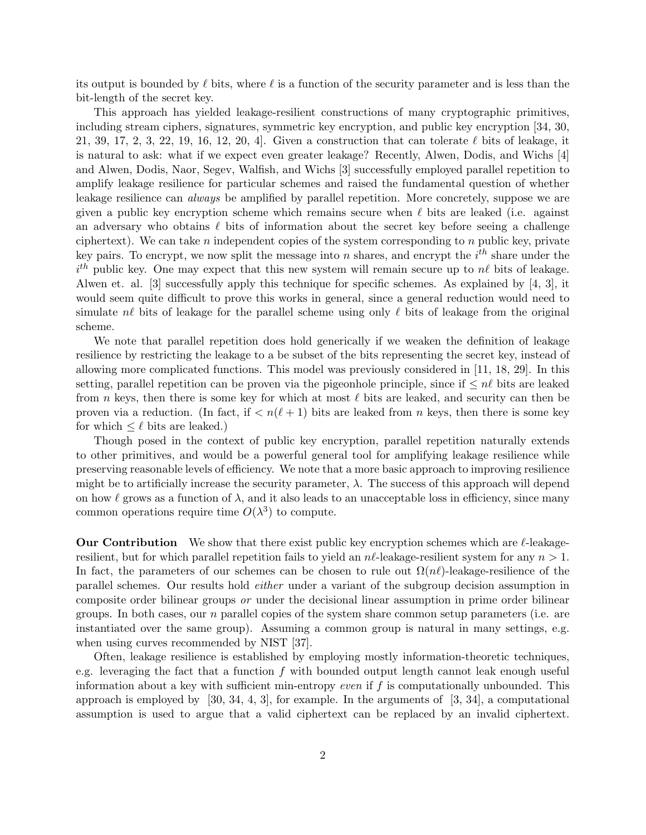its output is bounded by  $\ell$  bits, where  $\ell$  is a function of the security parameter and is less than the bit-length of the secret key.

This approach has yielded leakage-resilient constructions of many cryptographic primitives, including stream ciphers, signatures, symmetric key encryption, and public key encryption [34, 30, 21, 39, 17, 2, 3, 22, 19, 16, 12, 20, 4. Given a construction that can tolerate  $\ell$  bits of leakage, it is natural to ask: what if we expect even greater leakage? Recently, Alwen, Dodis, and Wichs [4] and Alwen, Dodis, Naor, Segev, Walfish, and Wichs [3] successfully employed parallel repetition to amplify leakage resilience for particular schemes and raised the fundamental question of whether leakage resilience can *always* be amplified by parallel repetition. More concretely, suppose we are given a public key encryption scheme which remains secure when  $\ell$  bits are leaked (i.e. against an adversary who obtains  $\ell$  bits of information about the secret key before seeing a challenge ciphertext). We can take  $n$  independent copies of the system corresponding to  $n$  public key, private key pairs. To encrypt, we now split the message into n shares, and encrypt the  $i^{th}$  share under the  $i<sup>th</sup>$  public key. One may expect that this new system will remain secure up to  $n\ell$  bits of leakage. Alwen et. al. [3] successfully apply this technique for specific schemes. As explained by [4, 3], it would seem quite difficult to prove this works in general, since a general reduction would need to simulate n $\ell$  bits of leakage for the parallel scheme using only  $\ell$  bits of leakage from the original scheme.

We note that parallel repetition does hold generically if we weaken the definition of leakage resilience by restricting the leakage to a be subset of the bits representing the secret key, instead of allowing more complicated functions. This model was previously considered in [11, 18, 29]. In this setting, parallel repetition can be proven via the pigeonhole principle, since if  $\leq n\ell$  bits are leaked from n keys, then there is some key for which at most  $\ell$  bits are leaked, and security can then be proven via a reduction. (In fact, if  $\langle n(\ell + 1) \rangle$  bits are leaked from n keys, then there is some key for which  $\leq \ell$  bits are leaked.)

Though posed in the context of public key encryption, parallel repetition naturally extends to other primitives, and would be a powerful general tool for amplifying leakage resilience while preserving reasonable levels of efficiency. We note that a more basic approach to improving resilience might be to artificially increase the security parameter,  $\lambda$ . The success of this approach will depend on how  $\ell$  grows as a function of  $\lambda$ , and it also leads to an unacceptable loss in efficiency, since many common operations require time  $O(\lambda^3)$  to compute.

**Our Contribution** We show that there exist public key encryption schemes which are  $\ell$ -leakageresilient, but for which parallel repetition fails to yield an  $n\ell$ -leakage-resilient system for any  $n > 1$ . In fact, the parameters of our schemes can be chosen to rule out  $\Omega(n\ell)$ -leakage-resilience of the parallel schemes. Our results hold either under a variant of the subgroup decision assumption in composite order bilinear groups or under the decisional linear assumption in prime order bilinear groups. In both cases, our  $n$  parallel copies of the system share common setup parameters (i.e. are instantiated over the same group). Assuming a common group is natural in many settings, e.g. when using curves recommended by NIST [37].

Often, leakage resilience is established by employing mostly information-theoretic techniques, e.g. leveraging the fact that a function  $f$  with bounded output length cannot leak enough useful information about a key with sufficient min-entropy even if f is computationally unbounded. This approach is employed by  $[30, 34, 4, 3]$ , for example. In the arguments of  $[3, 34]$ , a computational assumption is used to argue that a valid ciphertext can be replaced by an invalid ciphertext.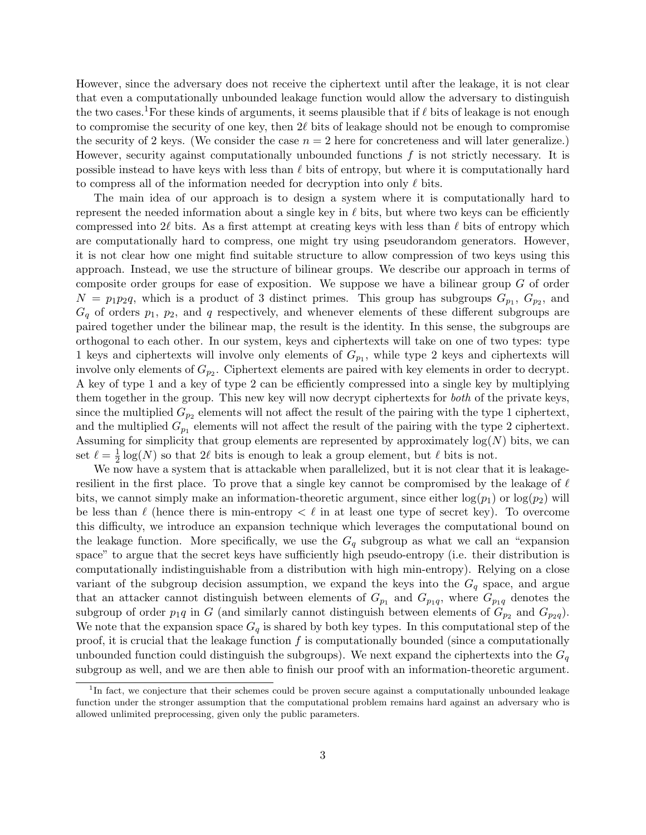However, since the adversary does not receive the ciphertext until after the leakage, it is not clear that even a computationally unbounded leakage function would allow the adversary to distinguish the two cases.<sup>1</sup>For these kinds of arguments, it seems plausible that if  $\ell$  bits of leakage is not enough to compromise the security of one key, then  $2\ell$  bits of leakage should not be enough to compromise the security of 2 keys. (We consider the case  $n = 2$  here for concreteness and will later generalize.) However, security against computationally unbounded functions  $f$  is not strictly necessary. It is possible instead to have keys with less than  $\ell$  bits of entropy, but where it is computationally hard to compress all of the information needed for decryption into only  $\ell$  bits.

The main idea of our approach is to design a system where it is computationally hard to represent the needed information about a single key in  $\ell$  bits, but where two keys can be efficiently compressed into  $2\ell$  bits. As a first attempt at creating keys with less than  $\ell$  bits of entropy which are computationally hard to compress, one might try using pseudorandom generators. However, it is not clear how one might find suitable structure to allow compression of two keys using this approach. Instead, we use the structure of bilinear groups. We describe our approach in terms of composite order groups for ease of exposition. We suppose we have a bilinear group  $G$  of order  $N = p_1 p_2 q$ , which is a product of 3 distinct primes. This group has subgroups  $G_{p_1}, G_{p_2}$ , and  $G_q$  of orders  $p_1$ ,  $p_2$ , and q respectively, and whenever elements of these different subgroups are paired together under the bilinear map, the result is the identity. In this sense, the subgroups are orthogonal to each other. In our system, keys and ciphertexts will take on one of two types: type 1 keys and ciphertexts will involve only elements of  $G_{p_1}$ , while type 2 keys and ciphertexts will involve only elements of  $G_{p_2}$ . Ciphertext elements are paired with key elements in order to decrypt. A key of type 1 and a key of type 2 can be efficiently compressed into a single key by multiplying them together in the group. This new key will now decrypt ciphertexts for both of the private keys, since the multiplied  $G_{p_2}$  elements will not affect the result of the pairing with the type 1 ciphertext, and the multiplied  $G_{p_1}$  elements will not affect the result of the pairing with the type 2 ciphertext. Assuming for simplicity that group elements are represented by approximately  $log(N)$  bits, we can set  $\ell = \frac{1}{2}$  $\frac{1}{2}$  log(N) so that 2 $\ell$  bits is enough to leak a group element, but  $\ell$  bits is not.

We now have a system that is attackable when parallelized, but it is not clear that it is leakageresilient in the first place. To prove that a single key cannot be compromised by the leakage of  $\ell$ bits, we cannot simply make an information-theoretic argument, since either  $log(p_1)$  or  $log(p_2)$  will be less than  $\ell$  (hence there is min-entropy  $\ell \ell$  in at least one type of secret key). To overcome this difficulty, we introduce an expansion technique which leverages the computational bound on the leakage function. More specifically, we use the  $G<sub>q</sub>$  subgroup as what we call an "expansion" space" to argue that the secret keys have sufficiently high pseudo-entropy (i.e. their distribution is computationally indistinguishable from a distribution with high min-entropy). Relying on a close variant of the subgroup decision assumption, we expand the keys into the  $G_q$  space, and argue that an attacker cannot distinguish between elements of  $G_{p_1}$  and  $G_{p_1q}$ , where  $G_{p_1q}$  denotes the subgroup of order  $p_1q$  in G (and similarly cannot distinguish between elements of  $G_{p_2}$  and  $G_{p_2q}$ ). We note that the expansion space  $G_q$  is shared by both key types. In this computational step of the proof, it is crucial that the leakage function  $f$  is computationally bounded (since a computationally unbounded function could distinguish the subgroups). We next expand the ciphertexts into the  $G_q$ subgroup as well, and we are then able to finish our proof with an information-theoretic argument.

<sup>&</sup>lt;sup>1</sup>In fact, we conjecture that their schemes could be proven secure against a computationally unbounded leakage function under the stronger assumption that the computational problem remains hard against an adversary who is allowed unlimited preprocessing, given only the public parameters.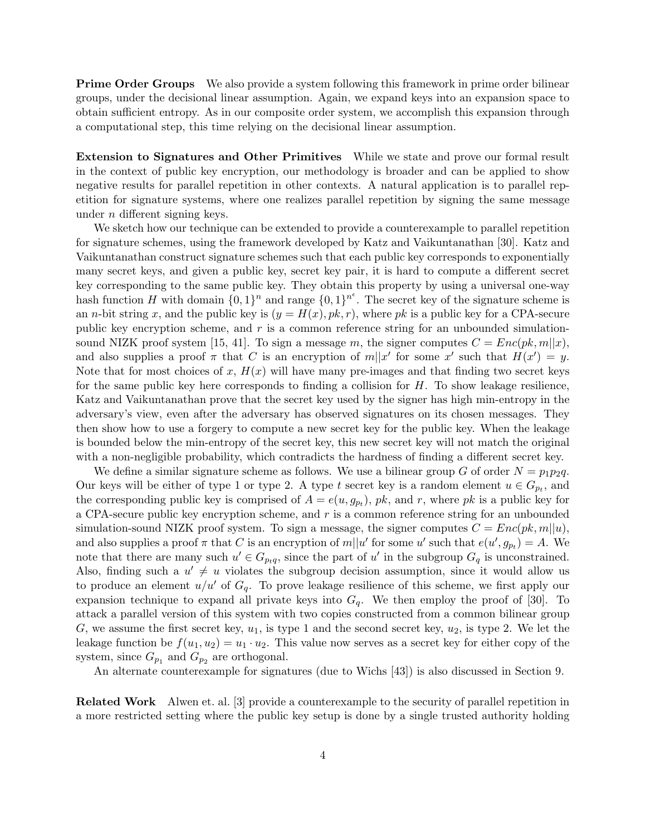**Prime Order Groups** We also provide a system following this framework in prime order bilinear groups, under the decisional linear assumption. Again, we expand keys into an expansion space to obtain sufficient entropy. As in our composite order system, we accomplish this expansion through a computational step, this time relying on the decisional linear assumption.

Extension to Signatures and Other Primitives While we state and prove our formal result in the context of public key encryption, our methodology is broader and can be applied to show negative results for parallel repetition in other contexts. A natural application is to parallel repetition for signature systems, where one realizes parallel repetition by signing the same message under n different signing keys.

We sketch how our technique can be extended to provide a counterexample to parallel repetition for signature schemes, using the framework developed by Katz and Vaikuntanathan [30]. Katz and Vaikuntanathan construct signature schemes such that each public key corresponds to exponentially many secret keys, and given a public key, secret key pair, it is hard to compute a different secret key corresponding to the same public key. They obtain this property by using a universal one-way hash function H with domain  $\{0,1\}^n$  and range  $\{0,1\}^{n^e}$ . The secret key of the signature scheme is an *n*-bit string x, and the public key is  $(y = H(x), pk, r)$ , where pk is a public key for a CPA-secure public key encryption scheme, and r is a common reference string for an unbounded simulationsound NIZK proof system [15, 41]. To sign a message m, the signer computes  $C = Enc(pk, m||x)$ , and also supplies a proof  $\pi$  that C is an encryption of  $m||x'$  for some x' such that  $H(x') = y$ . Note that for most choices of x,  $H(x)$  will have many pre-images and that finding two secret keys for the same public key here corresponds to finding a collision for  $H$ . To show leakage resilience, Katz and Vaikuntanathan prove that the secret key used by the signer has high min-entropy in the adversary's view, even after the adversary has observed signatures on its chosen messages. They then show how to use a forgery to compute a new secret key for the public key. When the leakage is bounded below the min-entropy of the secret key, this new secret key will not match the original with a non-negligible probability, which contradicts the hardness of finding a different secret key.

We define a similar signature scheme as follows. We use a bilinear group G of order  $N = p_1p_2q$ . Our keys will be either of type 1 or type 2. A type t secret key is a random element  $u \in G_{p_t}$ , and the corresponding public key is comprised of  $A = e(u, g_{p_t})$ ,  $pk$ , and r, where  $pk$  is a public key for a CPA-secure public key encryption scheme, and r is a common reference string for an unbounded simulation-sound NIZK proof system. To sign a message, the signer computes  $C = Enc(pk, m||u)$ , and also supplies a proof  $\pi$  that C is an encryption of  $m||u'$  for some u' such that  $e(u', g_{p_t}) = A$ . We note that there are many such  $u' \in G_{p_tq}$ , since the part of u' in the subgroup  $G_q$  is unconstrained. Also, finding such a  $u' \neq u$  violates the subgroup decision assumption, since it would allow us to produce an element  $u/u'$  of  $G_q$ . To prove leakage resilience of this scheme, we first apply our expansion technique to expand all private keys into  $G_q$ . We then employ the proof of [30]. To attack a parallel version of this system with two copies constructed from a common bilinear group G, we assume the first secret key,  $u_1$ , is type 1 and the second secret key,  $u_2$ , is type 2. We let the leakage function be  $f(u_1, u_2) = u_1 \cdot u_2$ . This value now serves as a secret key for either copy of the system, since  $G_{p_1}$  and  $G_{p_2}$  are orthogonal.

An alternate counterexample for signatures (due to Wichs [43]) is also discussed in Section 9.

Related Work Alwen et. al. [3] provide a counterexample to the security of parallel repetition in a more restricted setting where the public key setup is done by a single trusted authority holding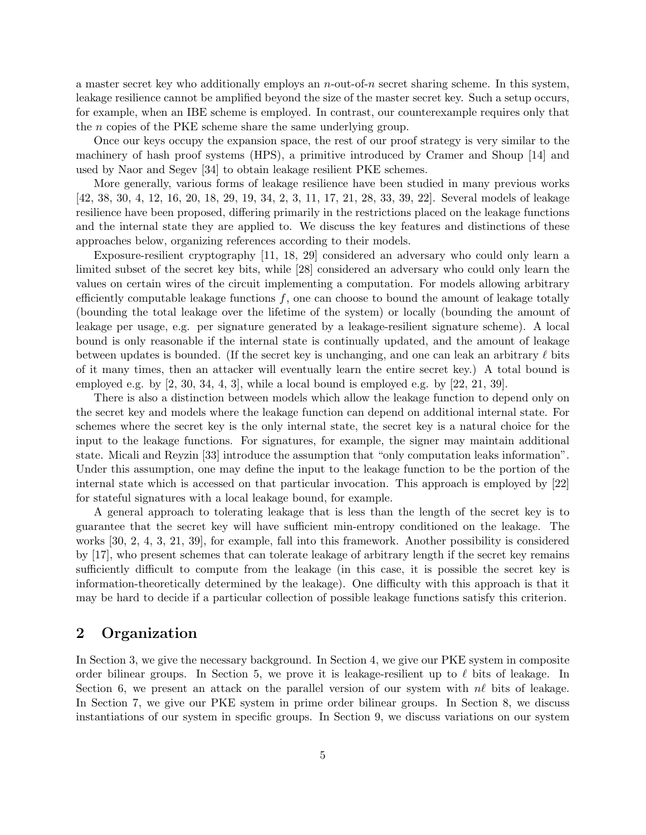a master secret key who additionally employs an n-out-of-n secret sharing scheme. In this system, leakage resilience cannot be amplified beyond the size of the master secret key. Such a setup occurs, for example, when an IBE scheme is employed. In contrast, our counterexample requires only that the n copies of the PKE scheme share the same underlying group.

Once our keys occupy the expansion space, the rest of our proof strategy is very similar to the machinery of hash proof systems (HPS), a primitive introduced by Cramer and Shoup [14] and used by Naor and Segev [34] to obtain leakage resilient PKE schemes.

More generally, various forms of leakage resilience have been studied in many previous works [42, 38, 30, 4, 12, 16, 20, 18, 29, 19, 34, 2, 3, 11, 17, 21, 28, 33, 39, 22]. Several models of leakage resilience have been proposed, differing primarily in the restrictions placed on the leakage functions and the internal state they are applied to. We discuss the key features and distinctions of these approaches below, organizing references according to their models.

Exposure-resilient cryptography [11, 18, 29] considered an adversary who could only learn a limited subset of the secret key bits, while [28] considered an adversary who could only learn the values on certain wires of the circuit implementing a computation. For models allowing arbitrary efficiently computable leakage functions  $f$ , one can choose to bound the amount of leakage totally (bounding the total leakage over the lifetime of the system) or locally (bounding the amount of leakage per usage, e.g. per signature generated by a leakage-resilient signature scheme). A local bound is only reasonable if the internal state is continually updated, and the amount of leakage between updates is bounded. (If the secret key is unchanging, and one can leak an arbitrary  $\ell$  bits of it many times, then an attacker will eventually learn the entire secret key.) A total bound is employed e.g. by  $[2, 30, 34, 4, 3]$ , while a local bound is employed e.g. by  $[22, 21, 39]$ .

There is also a distinction between models which allow the leakage function to depend only on the secret key and models where the leakage function can depend on additional internal state. For schemes where the secret key is the only internal state, the secret key is a natural choice for the input to the leakage functions. For signatures, for example, the signer may maintain additional state. Micali and Reyzin [33] introduce the assumption that "only computation leaks information". Under this assumption, one may define the input to the leakage function to be the portion of the internal state which is accessed on that particular invocation. This approach is employed by [22] for stateful signatures with a local leakage bound, for example.

A general approach to tolerating leakage that is less than the length of the secret key is to guarantee that the secret key will have sufficient min-entropy conditioned on the leakage. The works [30, 2, 4, 3, 21, 39], for example, fall into this framework. Another possibility is considered by [17], who present schemes that can tolerate leakage of arbitrary length if the secret key remains sufficiently difficult to compute from the leakage (in this case, it is possible the secret key is information-theoretically determined by the leakage). One difficulty with this approach is that it may be hard to decide if a particular collection of possible leakage functions satisfy this criterion.

## 2 Organization

In Section 3, we give the necessary background. In Section 4, we give our PKE system in composite order bilinear groups. In Section 5, we prove it is leakage-resilient up to  $\ell$  bits of leakage. In Section 6, we present an attack on the parallel version of our system with  $n\ell$  bits of leakage. In Section 7, we give our PKE system in prime order bilinear groups. In Section 8, we discuss instantiations of our system in specific groups. In Section 9, we discuss variations on our system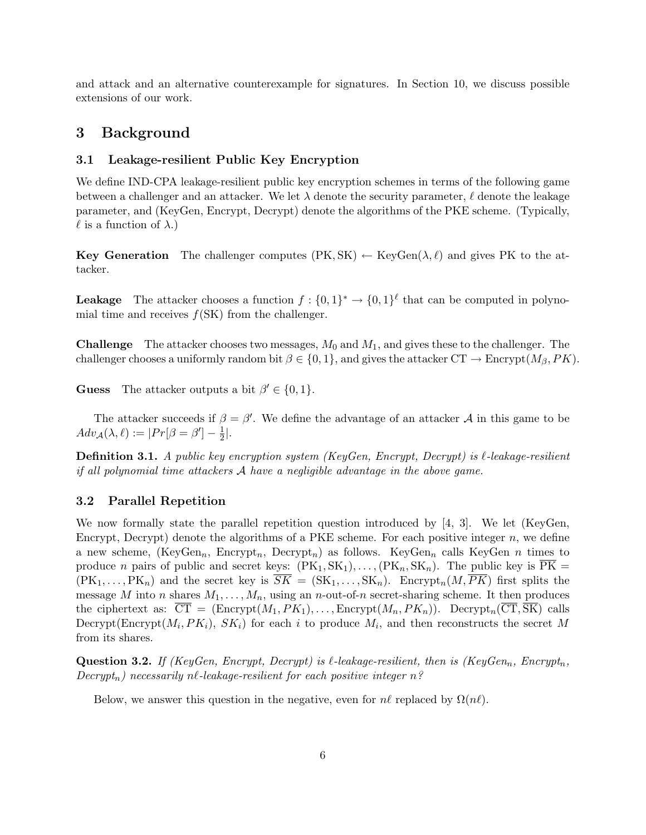and attack and an alternative counterexample for signatures. In Section 10, we discuss possible extensions of our work.

## 3 Background

#### 3.1 Leakage-resilient Public Key Encryption

We define IND-CPA leakage-resilient public key encryption schemes in terms of the following game between a challenger and an attacker. We let  $\lambda$  denote the security parameter,  $\ell$  denote the leakage parameter, and (KeyGen, Encrypt, Decrypt) denote the algorithms of the PKE scheme. (Typically,  $\ell$  is a function of  $\lambda$ .)

**Key Generation** The challenger computes  $(PK, SK) \leftarrow KeyGen(\lambda, \ell)$  and gives PK to the attacker.

**Leakage** The attacker chooses a function  $f: \{0,1\}^* \to \{0,1\}^{\ell}$  that can be computed in polynomial time and receives  $f(SK)$  from the challenger.

**Challenge** The attacker chooses two messages,  $M_0$  and  $M_1$ , and gives these to the challenger. The challenger chooses a uniformly random bit  $\beta \in \{0, 1\}$ , and gives the attacker  $CT \to \text{Energy}(M_{\beta}, PK)$ .

**Guess** The attacker outputs a bit  $\beta' \in \{0, 1\}.$ 

The attacker succeeds if  $\beta = \beta'$ . We define the advantage of an attacker A in this game to be  $Adv_{\mathcal{A}}(\lambda, \ell) := |Pr[\beta = \beta'] - \frac{1}{2}$  $\frac{1}{2}$ .

**Definition 3.1.** A public key encryption system (KeyGen, Encrypt, Decrypt) is  $\ell$ -leakage-resilient if all polynomial time attackers  $A$  have a negligible advantage in the above game.

### 3.2 Parallel Repetition

We now formally state the parallel repetition question introduced by [4, 3]. We let (KeyGen, Encrypt, Decrypt) denote the algorithms of a PKE scheme. For each positive integer  $n$ , we define a new scheme, (KeyGen<sub>n</sub>, Encrypt<sub>n</sub>, Decrypt<sub>n</sub>) as follows. KeyGen<sub>n</sub> calls KeyGen n times to produce n pairs of public and secret keys:  $(PK_1, SK_1), \ldots, (PK_n, SK_n)$ . The public key is  $\overline{PK}$  =  $(PK_1, \ldots, PK_n)$  and the secret key is  $\overline{SK} = (SK_1, \ldots, SK_n)$ . Encrypt<sub>n</sub> $(M, \overline{PK})$  first splits the message M into n shares  $M_1, \ldots, M_n$ , using an n-out-of-n secret-sharing scheme. It then produces the ciphertext as:  $\overline{CT} = ( \text{Energy}(M_1, PK_1), \dots, \text{Energy}(M_n, PK_n))$ .  $\text{Decrypt}_n(\overline{CT}, \overline{SK})$  calls Decrypt(Encrypt( $M_i, PK_i$ ),  $SK_i$ ) for each i to produce  $M_i$ , and then reconstructs the secret M from its shares.

**Question 3.2.** If (KeyGen, Encrypt, Decrypt) is  $\ell$ -leakage-resilient, then is (KeyGen<sub>n</sub>, Encrypt<sub>n</sub>,  $Decrypt_n)$  necessarily nl-leakage-resilient for each positive integer n?

Below, we answer this question in the negative, even for  $n\ell$  replaced by  $\Omega(n\ell)$ .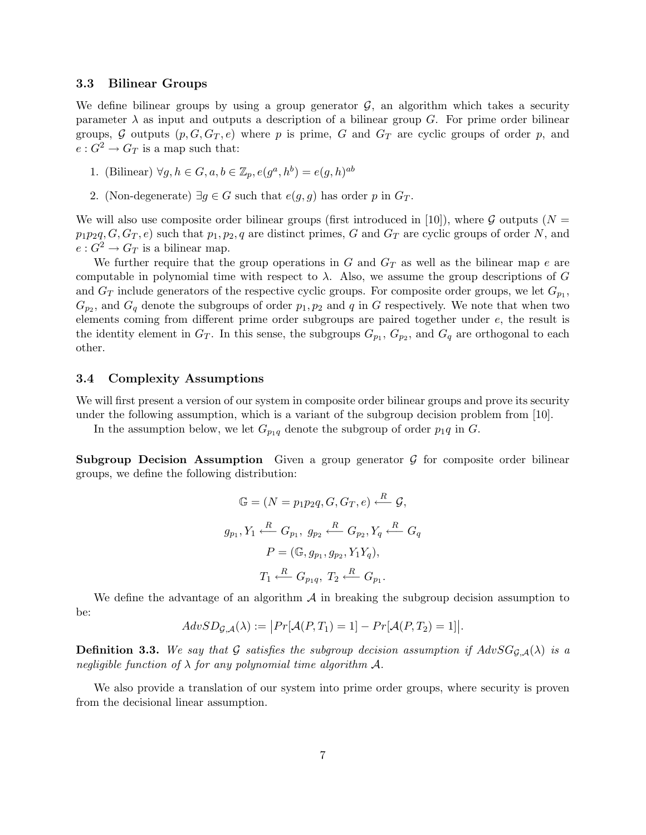#### 3.3 Bilinear Groups

We define bilinear groups by using a group generator  $G$ , an algorithm which takes a security parameter  $\lambda$  as input and outputs a description of a bilinear group G. For prime order bilinear groups, G outputs  $(p, G, G_T, e)$  where p is prime, G and  $G_T$  are cyclic groups of order p, and  $e: G^2 \to G_T$  is a map such that:

- 1. (Bilinear)  $\forall g, h \in G, a, b \in \mathbb{Z}_p, e(g^a, h^b) = e(g, h)^{ab}$
- 2. (Non-degenerate)  $\exists g \in G$  such that  $e(g, g)$  has order p in  $G_T$ .

We will also use composite order bilinear groups (first introduced in [10]), where  $G$  outputs (N =  $p_1p_2q$ ,  $G, G_T, e$  such that  $p_1, p_2, q$  are distinct primes, G and  $G_T$  are cyclic groups of order N, and  $e: G^2 \to G_T$  is a bilinear map.

We further require that the group operations in G and  $G_T$  as well as the bilinear map e are computable in polynomial time with respect to  $\lambda$ . Also, we assume the group descriptions of G and  $G_T$  include generators of the respective cyclic groups. For composite order groups, we let  $G_{p_1}$ ,  $G_{p_2}$ , and  $G_q$  denote the subgroups of order  $p_1, p_2$  and q in G respectively. We note that when two elements coming from different prime order subgroups are paired together under e, the result is the identity element in  $G_T$ . In this sense, the subgroups  $G_{p_1}, G_{p_2}$ , and  $G_q$  are orthogonal to each other.

#### 3.4 Complexity Assumptions

We will first present a version of our system in composite order bilinear groups and prove its security under the following assumption, which is a variant of the subgroup decision problem from [10].

In the assumption below, we let  $G_{p_1q}$  denote the subgroup of order  $p_1q$  in G.

**Subgroup Decision Assumption** Given a group generator  $\mathcal{G}$  for composite order bilinear groups, we define the following distribution:

$$
\mathbb{G} = (N = p_1 p_2 q, G, G_T, e) \xleftarrow{R} \mathcal{G},
$$

$$
g_{p_1}, Y_1 \xleftarrow{R} G_{p_1}, g_{p_2} \xleftarrow{R} G_{p_2}, Y_q \xleftarrow{R} G_q
$$

$$
P = (\mathbb{G}, g_{p_1}, g_{p_2}, Y_1 Y_q),
$$

$$
T_1 \xleftarrow{R} G_{p_1 q}, T_2 \xleftarrow{R} G_{p_1}.
$$

We define the advantage of an algorithm  $\mathcal A$  in breaking the subgroup decision assumption to be:

$$
AdvSD_{\mathcal{G},\mathcal{A}}(\lambda) := \big| Pr[\mathcal{A}(P,T_1) = 1] - Pr[\mathcal{A}(P,T_2) = 1] \big|.
$$

**Definition 3.3.** We say that G satisfies the subgroup decision assumption if  $AdvSG_{G,\mathcal{A}}(\lambda)$  is a negligible function of  $\lambda$  for any polynomial time algorithm A.

We also provide a translation of our system into prime order groups, where security is proven from the decisional linear assumption.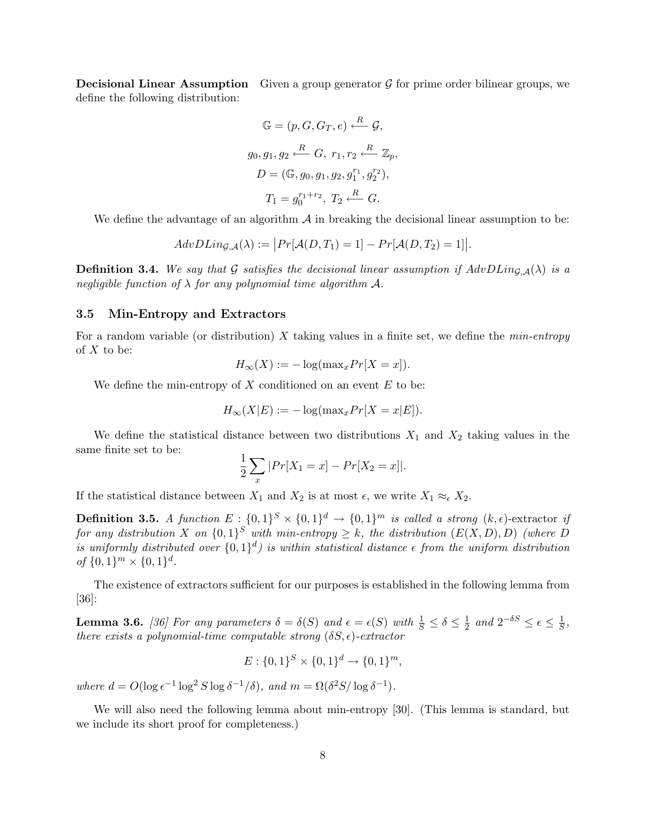**Decisional Linear Assumption** Given a group generator  $\mathcal G$  for prime order bilinear groups, we define the following distribution:

$$
\mathbb{G} = (p, G, G_T, e) \xleftarrow{R} \mathcal{G},
$$
  
\n
$$
g_0, g_1, g_2 \xleftarrow{R} G, r_1, r_2 \xleftarrow{R} \mathbb{Z}_p,
$$
  
\n
$$
D = (\mathbb{G}, g_0, g_1, g_2, g_1^{r_1}, g_2^{r_2}),
$$
  
\n
$$
T_1 = g_0^{r_1 + r_2}, T_2 \xleftarrow{R} G.
$$

We define the advantage of an algorithm  $A$  in breaking the decisional linear assumption to be:

$$
AdvDLin_{\mathcal{G},\mathcal{A}}(\lambda) := |Pr[\mathcal{A}(D,T_1) = 1] - Pr[\mathcal{A}(D,T_2) = 1]|.
$$

**Definition 3.4.** We say that G satisfies the decisional linear assumption if  $AdvDLin_{G,A}(\lambda)$  is a negligible function of  $\lambda$  for any polynomial time algorithm A.

#### 3.5 Min-Entropy and Extractors

For a random variable (or distribution) X taking values in a finite set, we define the  $min\text{-}entropy$ of  $X$  to be:

$$
H_{\infty}(X) := -\log(\max_{x} Pr[X = x]).
$$

We define the min-entropy of  $X$  conditioned on an event  $E$  to be:

$$
H_{\infty}(X|E) := -\log(\max_{x} Pr[X = x|E]).
$$

We define the statistical distance between two distributions  $X_1$  and  $X_2$  taking values in the same finite set to be:

$$
\frac{1}{2}\sum_{x}|Pr[X_1 = x] - Pr[X_2 = x]|.
$$

If the statistical distance between  $X_1$  and  $X_2$  is at most  $\epsilon$ , we write  $X_1 \approx_{\epsilon} X_2$ .

**Definition 3.5.** A function  $E: \{0,1\}^S \times \{0,1\}^d \rightarrow \{0,1\}^m$  is called a strong  $(k, \epsilon)$ -extractor if for any distribution X on  $\{0,1\}^S$  with min-entropy  $\geq k$ , the distribution  $(E(X, D), D)$  (where D is uniformly distributed over  $\{0,1\}^d$  is within statistical distance  $\epsilon$  from the uniform distribution of  $\{0,1\}^m \times \{0,1\}^d$ .

The existence of extractors sufficient for our purposes is established in the following lemma from [36]:

**Lemma 3.6.** [36] For any parameters  $\delta = \delta(S)$  and  $\epsilon = \epsilon(S)$  with  $\frac{1}{S} \le \delta \le \frac{1}{2}$  $\frac{1}{2}$  and  $2^{-\delta S} \leq \epsilon \leq \frac{1}{S}$  $\frac{1}{S}$ , there exists a polynomial-time computable strong  $(\delta S, \epsilon)$ -extractor

$$
E: \{0,1\}^{S} \times \{0,1\}^{d} \to \{0,1\}^{m},
$$

where  $d = O(\log \epsilon^{-1} \log^2 S \log \delta^{-1}/\delta)$ , and  $m = \Omega(\delta^2 S / \log \delta^{-1})$ .

We will also need the following lemma about min-entropy [30]. (This lemma is standard, but we include its short proof for completeness.)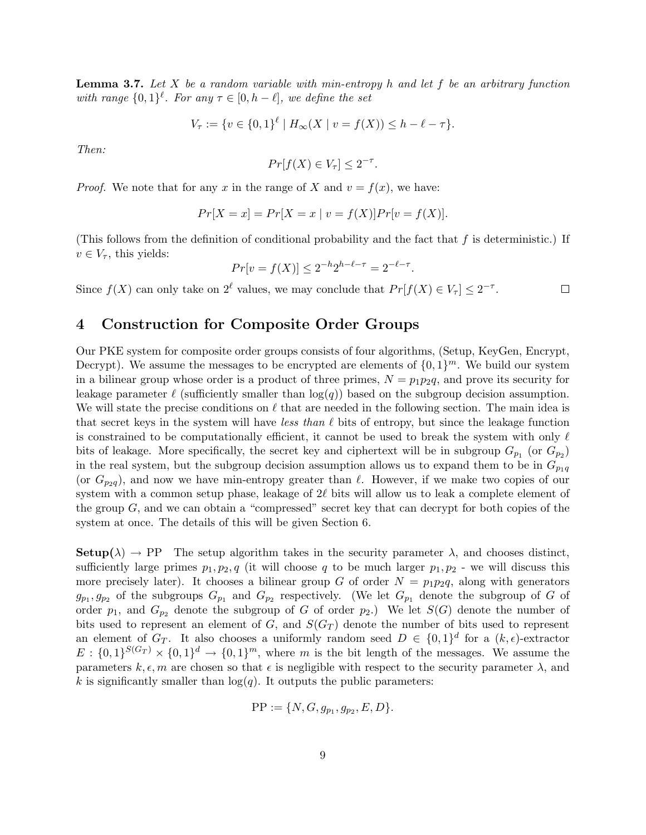**Lemma 3.7.** Let X be a random variable with min-entropy h and let f be an arbitrary function with range  $\{0,1\}^{\ell}$ . For any  $\tau \in [0, h-\ell]$ , we define the set

$$
V_{\tau} := \{ v \in \{0,1\}^{\ell} \mid H_{\infty}(X \mid v = f(X)) \le h - \ell - \tau \}.
$$

Then:

$$
Pr[f(X) \in V_{\tau}] \leq 2^{-\tau}.
$$

*Proof.* We note that for any x in the range of X and  $v = f(x)$ , we have:

$$
Pr[X = x] = Pr[X = x | v = f(X)] Pr[v = f(X)].
$$

(This follows from the definition of conditional probability and the fact that  $f$  is deterministic.) If  $v \in V_{\tau}$ , this yields:

$$
Pr[v = f(X)] \le 2^{-h}2^{h-\ell-\tau} = 2^{-\ell-\tau}.
$$

Since  $f(X)$  can only take on  $2^{\ell}$  values, we may conclude that  $Pr[f(X) \in V_{\tau}] \leq 2^{-\tau}$ .  $\Box$ 

## 4 Construction for Composite Order Groups

Our PKE system for composite order groups consists of four algorithms, (Setup, KeyGen, Encrypt, Decrypt). We assume the messages to be encrypted are elements of  $\{0,1\}^m$ . We build our system in a bilinear group whose order is a product of three primes,  $N = p_1 p_2 q$ , and prove its security for leakage parameter  $\ell$  (sufficiently smaller than  $log(q)$ ) based on the subgroup decision assumption. We will state the precise conditions on  $\ell$  that are needed in the following section. The main idea is that secret keys in the system will have less than  $\ell$  bits of entropy, but since the leakage function is constrained to be computationally efficient, it cannot be used to break the system with only  $\ell$ bits of leakage. More specifically, the secret key and ciphertext will be in subgroup  $G_{p_1}$  (or  $G_{p_2}$ ) in the real system, but the subgroup decision assumption allows us to expand them to be in  $G_{p_1q}$ (or  $G_{p_2q}$ ), and now we have min-entropy greater than  $\ell$ . However, if we make two copies of our system with a common setup phase, leakage of  $2\ell$  bits will allow us to leak a complete element of the group  $G$ , and we can obtain a "compressed" secret key that can decrypt for both copies of the system at once. The details of this will be given Section 6.

**Setup**( $\lambda$ )  $\rightarrow$  PP The setup algorithm takes in the security parameter  $\lambda$ , and chooses distinct, sufficiently large primes  $p_1, p_2, q$  (it will choose q to be much larger  $p_1, p_2$  - we will discuss this more precisely later). It chooses a bilinear group G of order  $N = p_1p_2q$ , along with generators  $g_{p_1}, g_{p_2}$  of the subgroups  $G_{p_1}$  and  $G_{p_2}$  respectively. (We let  $G_{p_1}$  denote the subgroup of G of order  $p_1$ , and  $G_{p_2}$  denote the subgroup of G of order  $p_2$ .) We let  $S(G)$  denote the number of bits used to represent an element of  $G$ , and  $S(G_T)$  denote the number of bits used to represent an element of  $G_T$ . It also chooses a uniformly random seed  $D \in \{0,1\}^d$  for a  $(k, \epsilon)$ -extractor  $E: \{0,1\}^{S(G_T)} \times \{0,1\}^d \to \{0,1\}^m$ , where m is the bit length of the messages. We assume the parameters  $k, \epsilon, m$  are chosen so that  $\epsilon$  is negligible with respect to the security parameter  $\lambda$ , and k is significantly smaller than  $log(q)$ . It outputs the public parameters:

$$
PP := \{ N, G, g_{p_1}, g_{p_2}, E, D \}.
$$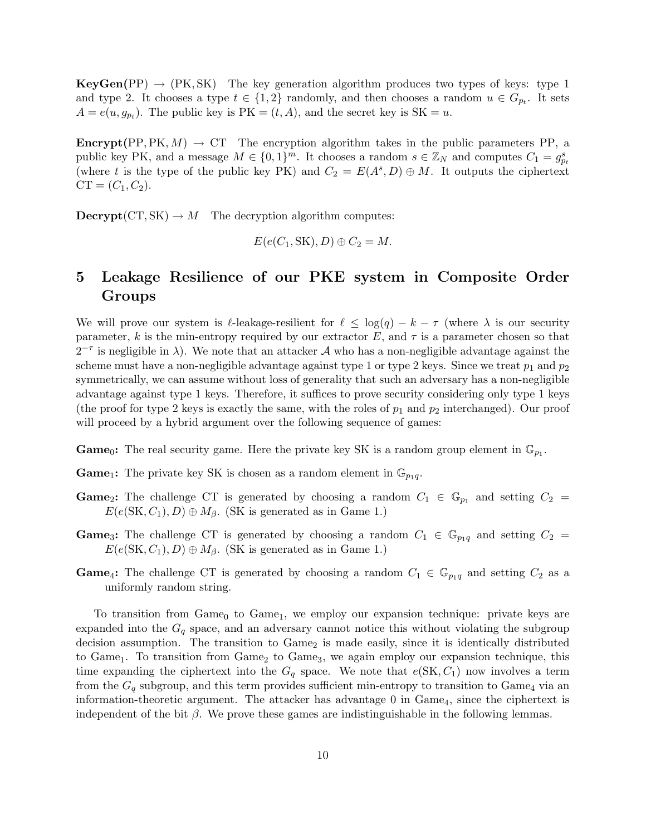$KeyGen(PP) \rightarrow (PK, SK)$  The key generation algorithm produces two types of keys: type 1 and type 2. It chooses a type  $t \in \{1,2\}$  randomly, and then chooses a random  $u \in G_{p_t}$ . It sets  $A = e(u, g_{p_t})$ . The public key is  $PK = (t, A)$ , and the secret key is  $SK = u$ .

**Encrypt**(PP, PK,  $M$ )  $\rightarrow$  CT The encryption algorithm takes in the public parameters PP, a public key PK, and a message  $M \in \{0,1\}^m$ . It chooses a random  $s \in \mathbb{Z}_N$  and computes  $C_1 = g_{pt}^s$ (where t is the type of the public key PK) and  $C_2 = E(A^s, D) \oplus M$ . It outputs the ciphertext  $CT = (C_1, C_2).$ 

 $\textbf{Decrypt}(CT, SK) \rightarrow M$  The decryption algorithm computes:

$$
E(e(C_1, SK), D) \oplus C_2 = M.
$$

# 5 Leakage Resilience of our PKE system in Composite Order Groups

We will prove our system is  $\ell$ -leakage-resilient for  $\ell \leq \log(q) - k - \tau$  (where  $\lambda$  is our security parameter, k is the min-entropy required by our extractor E, and  $\tau$  is a parameter chosen so that  $2^{-\tau}$  is negligible in  $\lambda$ ). We note that an attacker A who has a non-negligible advantage against the scheme must have a non-negligible advantage against type 1 or type 2 keys. Since we treat  $p_1$  and  $p_2$ symmetrically, we can assume without loss of generality that such an adversary has a non-negligible advantage against type 1 keys. Therefore, it suffices to prove security considering only type 1 keys (the proof for type 2 keys is exactly the same, with the roles of  $p_1$  and  $p_2$  interchanged). Our proof will proceed by a hybrid argument over the following sequence of games:

**Game**<sub>0</sub>: The real security game. Here the private key SK is a random group element in  $\mathbb{G}_{p_1}$ .

**Game**<sub>1</sub>: The private key SK is chosen as a random element in  $\mathbb{G}_{p_1q}$ .

- **Game**<sub>2</sub>: The challenge CT is generated by choosing a random  $C_1 \in \mathbb{G}_{p_1}$  and setting  $C_2 =$  $E(e(SK, C_1), D) \oplus M_\beta$ . (SK is generated as in Game 1.)
- **Game**<sub>3</sub>: The challenge CT is generated by choosing a random  $C_1 \in \mathbb{G}_{p_1q}$  and setting  $C_2 =$  $E(e(SK, C_1), D) \oplus M_\beta$ . (SK is generated as in Game 1.)
- **Game**<sub>4</sub>: The challenge CT is generated by choosing a random  $C_1 \in \mathbb{G}_{p_1q}$  and setting  $C_2$  as a uniformly random string.

To transition from  $Game_0$  to  $Game_1$ , we employ our expansion technique: private keys are expanded into the  $G_q$  space, and an adversary cannot notice this without violating the subgroup decision assumption. The transition to  $Game<sub>2</sub>$  is made easily, since it is identically distributed to Game<sub>1</sub>. To transition from Game<sub>2</sub> to Game<sub>3</sub>, we again employ our expansion technique, this time expanding the ciphertext into the  $G_q$  space. We note that  $e(SK, C_1)$  now involves a term from the  $G_q$  subgroup, and this term provides sufficient min-entropy to transition to Game<sub>4</sub> via an information-theoretic argument. The attacker has advantage  $0$  in  $Game_4$ , since the ciphertext is independent of the bit  $\beta$ . We prove these games are indistinguishable in the following lemmas.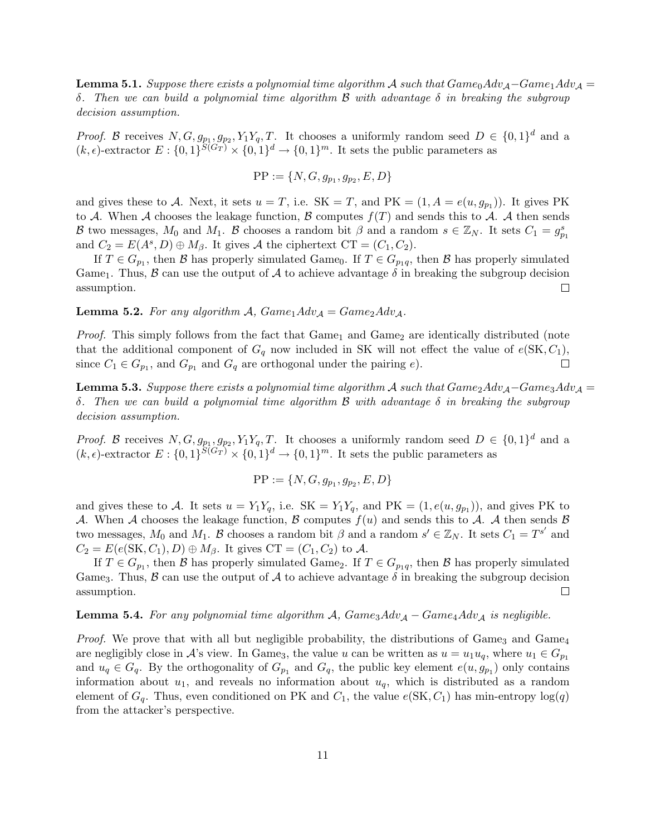**Lemma 5.1.** Suppose there exists a polynomial time algorithm A such that  $Game_0Adv_{\mathcal{A}}-Game_1Adv_{\mathcal{A}} =$ δ. Then we can build a polynomial time algorithm B with advantage δ in breaking the subgroup decision assumption.

*Proof.* B receives  $N, G, g_{p_1}, g_{p_2}, Y_1Y_q, T$ . It chooses a uniformly random seed  $D \in \{0,1\}^d$  and a  $(k, \epsilon)$ -extractor  $E: \{0,1\}^{S(G_T)} \times \{0,1\}^d \rightarrow \{0,1\}^m$ . It sets the public parameters as

$$
PP := \{N, G, g_{p_1}, g_{p_2}, E, D\}
$$

and gives these to A. Next, it sets  $u = T$ , i.e.  $SK = T$ , and  $PK = (1, A = e(u, g_{p_1}))$ . It gives PK to A. When A chooses the leakage function, B computes  $f(T)$  and sends this to A. A then sends B two messages,  $M_0$  and  $M_1$ . B chooses a random bit  $\beta$  and a random  $s \in \mathbb{Z}_N$ . It sets  $C_1 = g_{p_1}^s$ and  $C_2 = E(A^s, D) \oplus M_\beta$ . It gives A the ciphertext CT =  $(C_1, C_2)$ .

If  $T \in G_{p_1}$ , then  $\mathcal{B}$  has properly simulated Game<sub>0</sub>. If  $T \in G_{p_1q}$ , then  $\mathcal{B}$  has properly simulated Game<sub>1</sub>. Thus,  $\beta$  can use the output of  $\mathcal A$  to achieve advantage  $\delta$  in breaking the subgroup decision assumption.  $\Box$ 

**Lemma 5.2.** For any algorithm A,  $Game_1Adv_A = Game_2Adv_A$ .

*Proof.* This simply follows from the fact that  $Game_1$  and  $Game_2$  are identically distributed (note that the additional component of  $G_q$  now included in SK will not effect the value of  $e(SK, C_1)$ , since  $C_1 \in G_{p_1}$ , and  $G_{p_1}$  and  $G_q$  are orthogonal under the pairing e).  $\Box$ 

**Lemma 5.3.** Suppose there exists a polynomial time algorithm A such that  $Game_2Adv_{\mathcal{A}}-Game_3Adv_{\mathcal{A}}=$ δ. Then we can build a polynomial time algorithm B with advantage δ in breaking the subgroup decision assumption.

*Proof.* B receives  $N, G, g_{p_1}, g_{p_2}, Y_1Y_q, T$ . It chooses a uniformly random seed  $D \in \{0,1\}^d$  and a  $(k, \epsilon)$ -extractor  $E: \{0,1\}^{S(G_T)} \times \{0,1\}^d \rightarrow \{0,1\}^m$ . It sets the public parameters as

$$
PP := \{ N, G, g_{p_1}, g_{p_2}, E, D \}
$$

and gives these to A. It sets  $u = Y_1 Y_q$ , i.e.  $SK = Y_1 Y_q$ , and  $PK = (1, e(u, g_{p_1}))$ , and gives PK to A. When A chooses the leakage function, B computes  $f(u)$  and sends this to A. A then sends B two messages,  $M_0$  and  $M_1$ . B chooses a random bit  $\beta$  and a random  $s' \in \mathbb{Z}_N$ . It sets  $C_1 = T^{s'}$  and  $C_2 = E(e(SK, C_1), D) \oplus M_\beta$ . It gives  $CT = (C_1, C_2)$  to A.

If  $T \in G_{p_1}$ , then  $\mathcal{B}$  has properly simulated Game<sub>2</sub>. If  $T \in G_{p_1q}$ , then  $\mathcal{B}$  has properly simulated Game<sub>3</sub>. Thus,  $\beta$  can use the output of  $\mathcal A$  to achieve advantage  $\delta$  in breaking the subgroup decision assumption.  $\Box$ 

#### **Lemma 5.4.** For any polynomial time algorithm A,  $Game_3Adv_A - Game_4Adv_A$  is negligible.

*Proof.* We prove that with all but negligible probability, the distributions of Game<sub>3</sub> and Game<sub>4</sub> are negligibly close in A's view. In Game<sub>3</sub>, the value u can be written as  $u = u_1u_q$ , where  $u_1 \in G_{p_1}$ and  $u_q \in G_q$ . By the orthogonality of  $G_{p_1}$  and  $G_q$ , the public key element  $e(u, g_{p_1})$  only contains information about  $u_1$ , and reveals no information about  $u_q$ , which is distributed as a random element of  $G_q$ . Thus, even conditioned on PK and  $C_1$ , the value  $e(SK, C_1)$  has min-entropy  $log(q)$ from the attacker's perspective.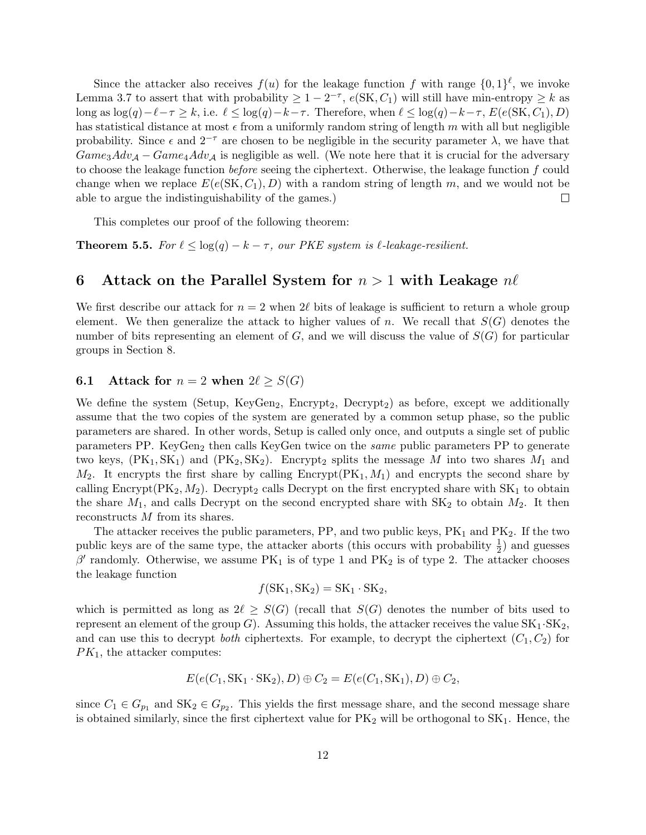Since the attacker also receives  $f(u)$  for the leakage function f with range  $\{0,1\}^{\ell}$ , we invoke Lemma 3.7 to assert that with probability  $\geq 1 - 2^{-\tau}$ ,  $e(SK, C_1)$  will still have min-entropy  $\geq k$  as long as  $\log(q)-\ell-\tau \geq k$ , i.e.  $\ell \leq \log(q)-k-\tau$ . Therefore, when  $\ell \leq \log(q)-k-\tau$ ,  $E(e(\text{SK}, C_1), D)$ has statistical distance at most  $\epsilon$  from a uniformly random string of length m with all but negligible probability. Since  $\epsilon$  and  $2^{-\tau}$  are chosen to be negligible in the security parameter  $\lambda$ , we have that  $Game_3Adv_{\mathcal{A}} - Game_4Adv_{\mathcal{A}}$  is negligible as well. (We note here that it is crucial for the adversary to choose the leakage function before seeing the ciphertext. Otherwise, the leakage function f could change when we replace  $E(e(\text{SK}, C_1), D)$  with a random string of length m, and we would not be able to argue the indistinguishability of the games.)  $\Box$ 

This completes our proof of the following theorem:

**Theorem 5.5.** For  $\ell \leq \log(q) - k - \tau$ , our PKE system is  $\ell$ -leakage-resilient.

# 6 Attack on the Parallel System for  $n > 1$  with Leakage  $n\ell$

We first describe our attack for  $n = 2$  when  $2\ell$  bits of leakage is sufficient to return a whole group element. We then generalize the attack to higher values of n. We recall that  $S(G)$  denotes the number of bits representing an element of  $G$ , and we will discuss the value of  $S(G)$  for particular groups in Section 8.

## **6.1** Attack for  $n = 2$  when  $2\ell \geq S(G)$

We define the system (Setup, KeyGen<sub>2</sub>, Encrypt<sub>2</sub>, Decrypt<sub>2</sub>) as before, except we additionally assume that the two copies of the system are generated by a common setup phase, so the public parameters are shared. In other words, Setup is called only once, and outputs a single set of public parameters PP. KeyGen<sub>2</sub> then calls KeyGen twice on the *same* public parameters PP to generate two keys,  $(\text{PK}_1, \text{SK}_1)$  and  $(\text{PK}_2, \text{SK}_2)$ . Encrypt<sub>2</sub> splits the message M into two shares  $M_1$  and  $M_2$ . It encrypts the first share by calling Encrypt( $\text{PK}_1, M_1$ ) and encrypts the second share by calling Encrypt( $PK_2, M_2$ ). Decrypt<sub>2</sub> calls Decrypt on the first encrypted share with  $SK_1$  to obtain the share  $M_1$ , and calls Decrypt on the second encrypted share with  $SK_2$  to obtain  $M_2$ . It then reconstructs M from its shares.

The attacker receives the public parameters,  $PP$ , and two public keys,  $PK_1$  and  $PK_2$ . If the two public keys are of the same type, the attacker aborts (this occurs with probability  $\frac{1}{2}$ ) and guesses  $\beta'$  randomly. Otherwise, we assume PK<sub>1</sub> is of type 1 and PK<sub>2</sub> is of type 2. The attacker chooses the leakage function

$$
f(SK_1, SK_2) = SK_1 \cdot SK_2,
$$

which is permitted as long as  $2\ell \geq S(G)$  (recall that  $S(G)$  denotes the number of bits used to represent an element of the group G). Assuming this holds, the attacker receives the value  $SK_1 \cdot SK_2$ , and can use this to decrypt *both* ciphertexts. For example, to decrypt the ciphertext  $(C_1, C_2)$  for  $PK<sub>1</sub>$ , the attacker computes:

$$
E(e(C_1, SK_1 \cdot SK_2), D) \oplus C_2 = E(e(C_1, SK_1), D) \oplus C_2,
$$

since  $C_1 \in G_{p_1}$  and  $SK_2 \in G_{p_2}$ . This yields the first message share, and the second message share is obtained similarly, since the first ciphertext value for  $PK<sub>2</sub>$  will be orthogonal to  $SK<sub>1</sub>$ . Hence, the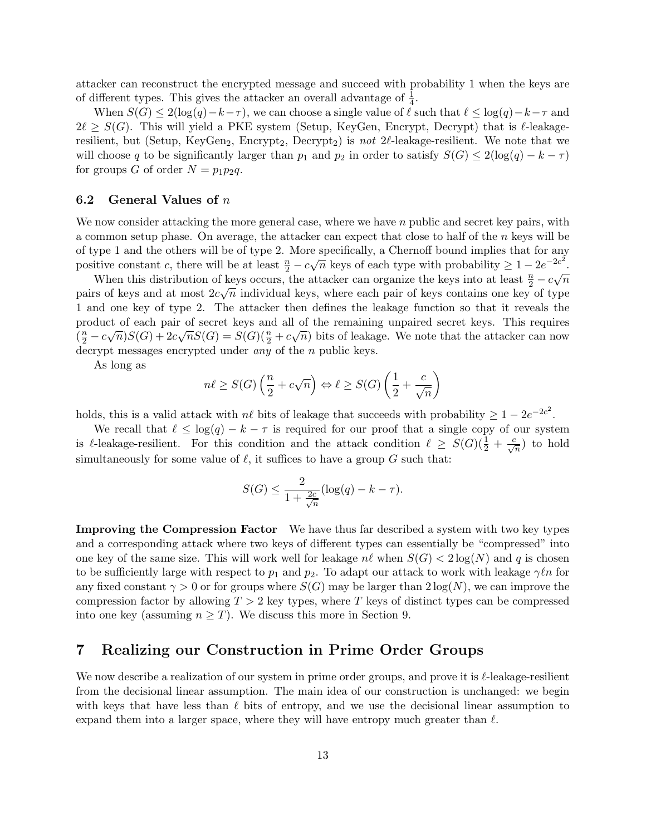attacker can reconstruct the encrypted message and succeed with probability 1 when the keys are of different types. This gives the attacker an overall advantage of  $\frac{1}{4}$ .

When  $S(G) \leq 2(\log(q)-k-\tau)$ , we can choose a single value of  $\ell$  such that  $\ell \leq \log(q)-k-\tau$  and  $2\ell \geq S(G)$ . This will yield a PKE system (Setup, KeyGen, Encrypt, Decrypt) that is  $\ell$ -leakageresilient, but (Setup, KeyGen<sub>2</sub>, Encrypt<sub>2</sub>, Decrypt<sub>2</sub>) is not  $2\ell$ -leakage-resilient. We note that we will choose q to be significantly larger than  $p_1$  and  $p_2$  in order to satisfy  $S(G) \leq 2(\log(q) - k - \tau)$ for groups G of order  $N = p_1p_2q$ .

#### 6.2 General Values of  $n$

We now consider attacking the more general case, where we have  $n$  public and secret key pairs, with a common setup phase. On average, the attacker can expect that close to half of the  $n$  keys will be of type 1 and the others will be of type 2. More specifically, a Chernoff bound implies that for any positive constant c, there will be at least  $\frac{n}{2} - c\sqrt{n}$  keys of each type with probability  $\geq 1 - 2e^{-2c^2}$ .

When this distribution of keys occurs, the attacker can organize the keys into at least  $\frac{n}{2} - c\sqrt{n}$ pairs of keys and at most  $2c\sqrt{n}$  individual keys, where each pair of keys contains one key of type 1 and one key of type 2. The attacker then defines the leakage function so that it reveals the product of each pair of secret keys and all of the remaining unpaired secret keys. This requires  $(\frac{n}{2} - c\sqrt{n})S(G) + 2c\sqrt{n}S(G) = S(G)(\frac{n}{2} + c\sqrt{n})$  bits of leakage. We note that the attacker can now decrypt messages encrypted under *any* of the *n* public keys.

As long as

$$
n\ell \ge S(G)\left(\frac{n}{2} + c\sqrt{n}\right) \Leftrightarrow \ell \ge S(G)\left(\frac{1}{2} + \frac{c}{\sqrt{n}}\right)
$$

holds, this is a valid attack with  $n\ell$  bits of leakage that succeeds with probability  $\geq 1 - 2e^{-2c^2}$ .

We recall that  $\ell \leq \log(q) - k - \tau$  is required for our proof that a single copy of our system is leakage-resilient. For this condition and the attack condition  $\ell \geq S(G)(\frac{1}{2} + \frac{c}{\sqrt{n}})$  to hold simultaneously for some value of  $\ell$ , it suffices to have a group G such that:

$$
S(G) \le \frac{2}{1 + \frac{2c}{\sqrt{n}}} (\log(q) - k - \tau).
$$

Improving the Compression Factor We have thus far described a system with two key types and a corresponding attack where two keys of different types can essentially be "compressed" into one key of the same size. This will work well for leakage  $n\ell$  when  $S(G) < 2\log(N)$  and q is chosen to be sufficiently large with respect to  $p_1$  and  $p_2$ . To adapt our attack to work with leakage  $\gamma \ell n$  for any fixed constant  $\gamma > 0$  or for groups where  $S(G)$  may be larger than  $2 \log(N)$ , we can improve the compression factor by allowing  $T > 2$  key types, where T keys of distinct types can be compressed into one key (assuming  $n \geq T$ ). We discuss this more in Section 9.

## 7 Realizing our Construction in Prime Order Groups

We now describe a realization of our system in prime order groups, and prove it is  $\ell$ -leakage-resilient from the decisional linear assumption. The main idea of our construction is unchanged: we begin with keys that have less than  $\ell$  bits of entropy, and we use the decisional linear assumption to expand them into a larger space, where they will have entropy much greater than  $\ell$ .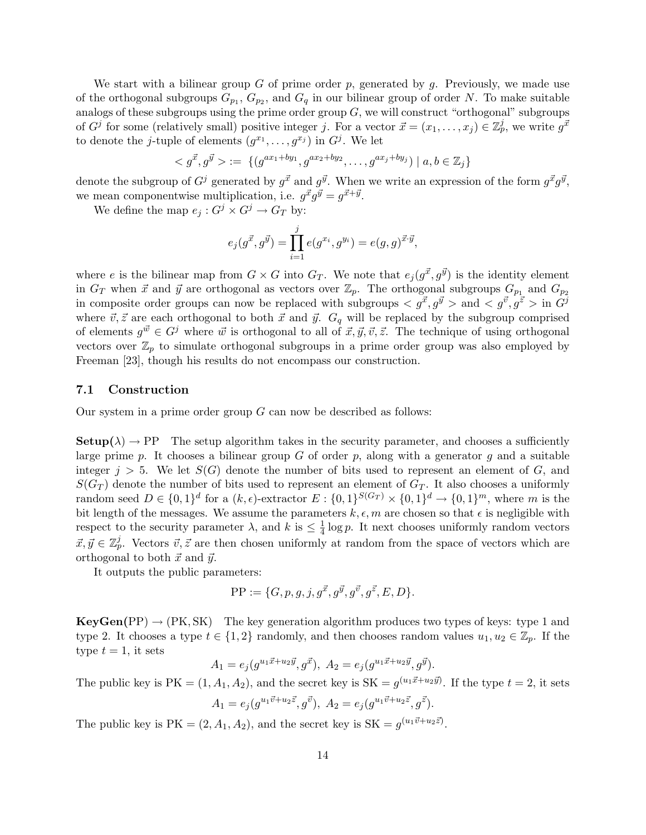We start with a bilinear group  $G$  of prime order  $p$ , generated by  $g$ . Previously, we made use of the orthogonal subgroups  $G_{p_1}, G_{p_2}$ , and  $G_q$  in our bilinear group of order N. To make suitable analogs of these subgroups using the prime order group  $G$ , we will construct "orthogonal" subgroups of  $G^j$  for some (relatively small) positive integer j. For a vector  $\vec{x} = (x_1, \ldots, x_j) \in \mathbb{Z}_p^j$ , we write  $g^{\vec{x}}$ to denote the *j*-tuple of elements  $(g^{x_1}, \ldots, g^{x_j})$  in  $G^j$ . We let

$$
\langle g^{\vec{x}}, g^{\vec{y}} \rangle := \{ (g^{ax_1 + by_1}, g^{ax_2 + by_2}, \dots, g^{ax_j + by_j}) \mid a, b \in \mathbb{Z}_j \}
$$

denote the subgroup of  $G^j$  generated by  $g^{\vec{x}}$  and  $g^{\vec{y}}$ . When we write an expression of the form  $g^{\vec{x}}g^{\vec{y}}$ , we mean componentwise multiplication, i.e.  $g^{\vec{x}}g^{\vec{y}} = g^{\vec{x}+\vec{y}}$ .

We define the map  $e_j: G^j \times G^j \to G_T$  by:

$$
e_j(g^{\vec{x}}, g^{\vec{y}}) = \prod_{i=1}^j e(g^{x_i}, g^{y_i}) = e(g, g)^{\vec{x} \cdot \vec{y}},
$$

where e is the bilinear map from  $G \times G$  into  $G_T$ . We note that  $e_j(g^{\vec{x}}, g^{\vec{y}})$  is the identity element in  $G_T$  when  $\vec{x}$  and  $\vec{y}$  are orthogonal as vectors over  $\mathbb{Z}_p$ . The orthogonal subgroups  $G_{p_1}$  and  $G_{p_2}$ in composite order groups can now be replaced with subgroups  $\langle g^{\vec{x}}, g^{\vec{y}} \rangle$  and  $\langle g^{\vec{v}}, g^{\vec{z}} \rangle$  in  $G^{\vec{y}}$ where  $\vec{v}, \vec{z}$  are each orthogonal to both  $\vec{x}$  and  $\vec{y}$ .  $G_q$  will be replaced by the subgroup comprised of elements  $g^{\vec{w}} \in G^j$  where  $\vec{w}$  is orthogonal to all of  $\vec{x}, \vec{y}, \vec{v}, \vec{z}$ . The technique of using orthogonal vectors over  $\mathbb{Z}_p$  to simulate orthogonal subgroups in a prime order group was also employed by Freeman [23], though his results do not encompass our construction.

#### 7.1 Construction

Our system in a prime order group  $G$  can now be described as follows:

 **The setup algorithm takes in the security parameter, and chooses a sufficiently** large prime  $p$ . It chooses a bilinear group  $G$  of order  $p$ , along with a generator  $q$  and a suitable integer  $j > 5$ . We let  $S(G)$  denote the number of bits used to represent an element of G, and  $S(G_T)$  denote the number of bits used to represent an element of  $G_T$ . It also chooses a uniformly random seed  $D \in \{0,1\}^d$  for a  $(k,\epsilon)$ -extractor  $E: \{0,1\}^{S(G_T)} \times \{0,1\}^d \to \{0,1\}^m$ , where m is the bit length of the messages. We assume the parameters  $k, \epsilon, m$  are chosen so that  $\epsilon$  is negligible with respect to the security parameter  $\lambda$ , and  $k$  is  $\leq \frac{1}{4}$  $\frac{1}{4}$  log p. It next chooses uniformly random vectors  $\vec{x}, \vec{y} \in \mathbb{Z}_p^j$ . Vectors  $\vec{v}, \vec{z}$  are then chosen uniformly at random from the space of vectors which are orthogonal to both  $\vec{x}$  and  $\vec{y}$ .

It outputs the public parameters:

$$
PP := \{G, p, g, j, g^{\vec{x}}, g^{\vec{y}}, g^{\vec{v}}, g^{\vec{z}}, E, D\}.
$$

 $KeyGen(PP) \rightarrow (PK, SK)$  The key generation algorithm produces two types of keys: type 1 and type 2. It chooses a type  $t \in \{1,2\}$  randomly, and then chooses random values  $u_1, u_2 \in \mathbb{Z}_p$ . If the type  $t = 1$ , it sets

$$
A_1 = e_j(g^{u_1\vec{x}+u_2\vec{y}}, g^{\vec{x}}), \ A_2 = e_j(g^{u_1\vec{x}+u_2\vec{y}}, g^{\vec{y}}).
$$

The public key is  $PK = (1, A_1, A_2)$ , and the secret key is  $SK = g^{(u_1\vec{x}+u_2\vec{y})}$ . If the type  $t = 2$ , it sets

$$
A_1 = e_j(g^{u_1\vec{v} + u_2\vec{z}}, g^{\vec{v}}), \ A_2 = e_j(g^{u_1\vec{v} + u_2\vec{z}}, g^{\vec{z}}).
$$

The public key is  $PK = (2, A_1, A_2)$ , and the secret key is  $SK = g^{(u_1\vec{v} + u_2\vec{z})}$ .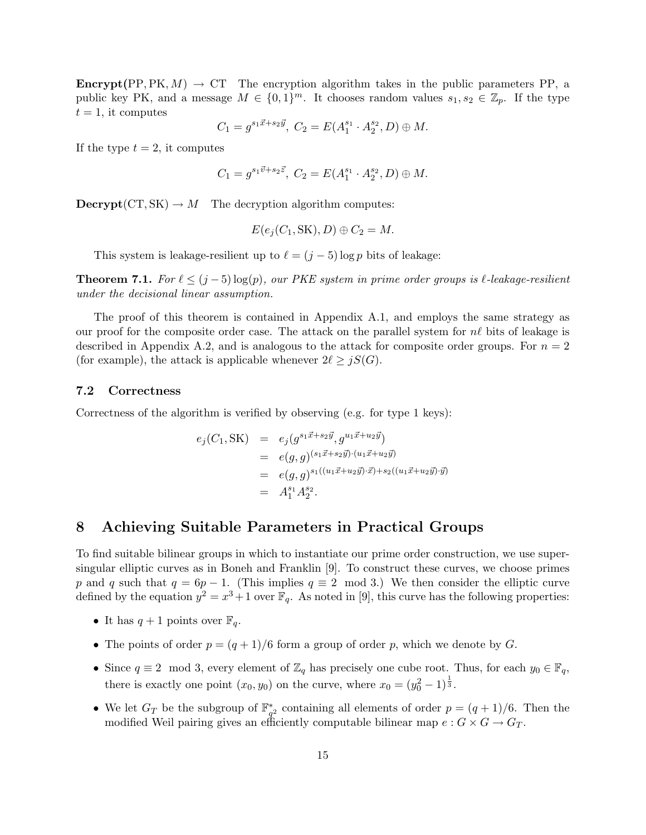**Encrypt**(PP, PK,  $M$ )  $\rightarrow$  CT The encryption algorithm takes in the public parameters PP, a public key PK, and a message  $M \in \{0,1\}^m$ . It chooses random values  $s_1, s_2 \in \mathbb{Z}_p$ . If the type  $t = 1$ , it computes

$$
C_1 = g^{s_1\vec{x} + s_2\vec{y}}, C_2 = E(A_1^{s_1} \cdot A_2^{s_2}, D) \oplus M.
$$

If the type  $t = 2$ , it computes

$$
C_1 = g^{s_1 \vec{v} + s_2 \vec{z}}, \ C_2 = E(A_1^{s_1} \cdot A_2^{s_2}, D) \oplus M.
$$

 $\text{Decrypt}(CT, SK) \to M$  The decryption algorithm computes:

$$
E(e_j(C_1, \text{SK}), D) \oplus C_2 = M.
$$

This system is leakage-resilient up to  $\ell = (j - 5) \log p$  bits of leakage:

**Theorem 7.1.** For  $\ell \leq (j-5) \log(p)$ , our PKE system in prime order groups is  $\ell$ -leakage-resilient under the decisional linear assumption.

The proof of this theorem is contained in Appendix A.1, and employs the same strategy as our proof for the composite order case. The attack on the parallel system for  $n\ell$  bits of leakage is described in Appendix A.2, and is analogous to the attack for composite order groups. For  $n = 2$ (for example), the attack is applicable whenever  $2\ell \geq jS(G)$ .

#### 7.2 Correctness

Correctness of the algorithm is verified by observing (e.g. for type 1 keys):

$$
e_j(C_1, SK) = e_j(g^{s_1\vec{x} + s_2\vec{y}}, g^{u_1\vec{x} + u_2\vec{y}})
$$
  
=  $e(g, g)^{(s_1\vec{x} + s_2\vec{y}) \cdot (u_1\vec{x} + u_2\vec{y})}$   
=  $e(g, g)^{s_1((u_1\vec{x} + u_2\vec{y}) \cdot \vec{x}) + s_2((u_1\vec{x} + u_2\vec{y}) \cdot \vec{y})}$   
=  $A_1^{s_1} A_2^{s_2}$ .

## 8 Achieving Suitable Parameters in Practical Groups

To find suitable bilinear groups in which to instantiate our prime order construction, we use supersingular elliptic curves as in Boneh and Franklin [9]. To construct these curves, we choose primes p and q such that  $q = 6p - 1$ . (This implies  $q \equiv 2 \mod 3$ .) We then consider the elliptic curve defined by the equation  $y^2 = x^3 + 1$  over  $\mathbb{F}_q$ . As noted in [9], this curve has the following properties:

- It has  $q + 1$  points over  $\mathbb{F}_q$ .
- The points of order  $p = (q + 1)/6$  form a group of order p, which we denote by G.
- Since  $q \equiv 2 \mod 3$ , every element of  $\mathbb{Z}_q$  has precisely one cube root. Thus, for each  $y_0 \in \mathbb{F}_q$ , there is exactly one point  $(x_0, y_0)$  on the curve, where  $x_0 = (y_0^2 - 1)^{\frac{1}{3}}$ .
- We let  $G_T$  be the subgroup of  $\mathbb{F}_{q^2}^*$  containing all elements of order  $p = (q+1)/6$ . Then the modified Weil pairing gives an efficiently computable bilinear map  $e : G \times G \to G_T$ .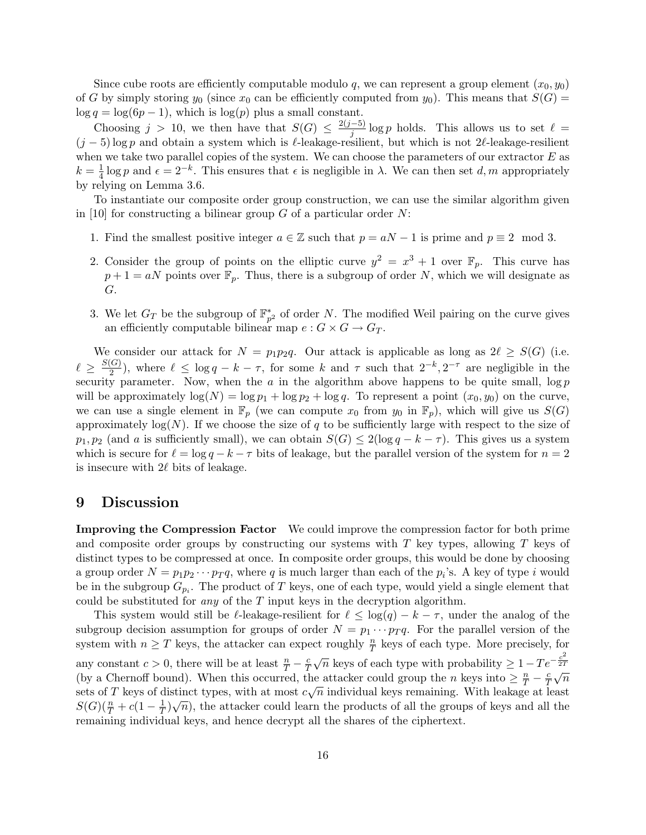Since cube roots are efficiently computable modulo q, we can represent a group element  $(x_0, y_0)$ of G by simply storing  $y_0$  (since  $x_0$  can be efficiently computed from  $y_0$ ). This means that  $S(G)$  =  $\log q = \log(6p - 1)$ , which is  $\log(p)$  plus a small constant.

Choosing  $j > 10$ , we then have that  $S(G) \leq \frac{2(j-5)}{j}$  $\frac{(-5)}{j} \log p$  holds. This allows us to set  $\ell =$  $(j-5)$  log p and obtain a system which is  $\ell$ -leakage-resilient, but which is not 2 $\ell$ -leakage-resilient when we take two parallel copies of the system. We can choose the parameters of our extractor  $E$  as  $k=\frac{1}{4}$  $\frac{1}{4}$  log p and  $\epsilon = 2^{-k}$ . This ensures that  $\epsilon$  is negligible in  $\lambda$ . We can then set  $d, m$  appropriately by relying on Lemma 3.6.

To instantiate our composite order group construction, we can use the similar algorithm given in [10] for constructing a bilinear group  $G$  of a particular order  $N$ :

- 1. Find the smallest positive integer  $a \in \mathbb{Z}$  such that  $p = aN 1$  is prime and  $p \equiv 2 \mod 3$ .
- 2. Consider the group of points on the elliptic curve  $y^2 = x^3 + 1$  over  $\mathbb{F}_p$ . This curve has  $p+1 = aN$  points over  $\mathbb{F}_p$ . Thus, there is a subgroup of order N, which we will designate as G.
- 3. We let  $G_T$  be the subgroup of  $\mathbb{F}_{p^2}^*$  of order N. The modified Weil pairing on the curve gives an efficiently computable bilinear map  $e : G \times G \to G_T$ .

We consider our attack for  $N = p_1p_2q$ . Our attack is applicable as long as  $2\ell \geq S(G)$  (i.e.  $\ell \geq \frac{S(G)}{2}$  $\frac{C(G)}{2}$ , where  $\ell \leq \log q - k - \tau$ , for some k and  $\tau$  such that  $2^{-k}$ ,  $2^{-\tau}$  are negligible in the security parameter. Now, when the  $a$  in the algorithm above happens to be quite small,  $\log p$ will be approximately  $\log(N) = \log p_1 + \log p_2 + \log q$ . To represent a point  $(x_0, y_0)$  on the curve, we can use a single element in  $\mathbb{F}_p$  (we can compute  $x_0$  from  $y_0$  in  $\mathbb{F}_p$ ), which will give us  $S(G)$ approximately  $log(N)$ . If we choose the size of q to be sufficiently large with respect to the size of  $p_1, p_2$  (and a is sufficiently small), we can obtain  $S(G) \leq 2(\log q - k - \tau)$ . This gives us a system which is secure for  $\ell = \log q - k - \tau$  bits of leakage, but the parallel version of the system for  $n = 2$ is insecure with  $2\ell$  bits of leakage.

### 9 Discussion

Improving the Compression Factor We could improve the compression factor for both prime and composite order groups by constructing our systems with  $T$  key types, allowing  $T$  keys of distinct types to be compressed at once. In composite order groups, this would be done by choosing a group order  $N = p_1 p_2 \cdots p_T q$ , where q is much larger than each of the  $p_i$ 's. A key of type i would be in the subgroup  $G_{p_i}$ . The product of T keys, one of each type, would yield a single element that could be substituted for *any* of the  $T$  input keys in the decryption algorithm.

This system would still be  $\ell$ -leakage-resilient for  $\ell \leq \log(q) - k - \tau$ , under the analog of the subgroup decision assumption for groups of order  $N = p_1 \cdots p_T q$ . For the parallel version of the system with  $n \geq T$  keys, the attacker can expect roughly  $\frac{n}{T}$  keys of each type. More precisely, for any constant  $c > 0$ , there will be at least  $\frac{n}{T} - \frac{c}{T}$ T  $\sqrt{n}$  keys of each type with probability  $\geq 1 - T e^{-\frac{c^2}{2T}}$  $\frac{2T}{\sqrt{2}}$ (by a Chernoff bound). When this occurred, the attacker could group the n keys into  $\geq \frac{n}{T} - \frac{c}{T}$ he attacker could group the *n* keys into  $\geq \frac{n}{T} - \frac{c}{T}\sqrt{n}$ sets of T keys of distinct types, with at most  $c\sqrt{n}$  individual keys remaining. With leakage at least  $S(G)(\frac{n}{T} + c(1 - \frac{1}{T}))$ distinct types, with at most  $c\sqrt{n}$  individual keys remaining. With leakage at least  $\frac{1}{T}$ ) $\sqrt{n}$ ), the attacker could learn the products of all the groups of keys and all the remaining individual keys, and hence decrypt all the shares of the ciphertext.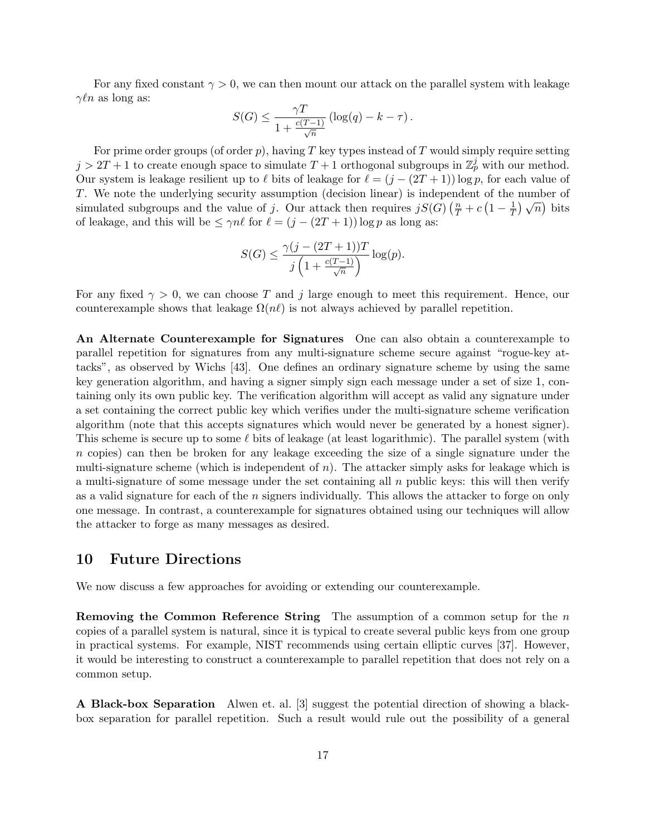For any fixed constant  $\gamma > 0$ , we can then mount our attack on the parallel system with leakage  $\gamma \ell n$  as long as:

$$
S(G) \le \frac{\gamma T}{1 + \frac{c(T-1)}{\sqrt{n}}} \left( \log(q) - k - \tau \right).
$$

For prime order groups (of order  $p$ ), having T key types instead of T would simply require setting  $j > 2T + 1$  to create enough space to simulate  $T + 1$  orthogonal subgroups in  $\mathbb{Z}_p^j$  with our method. Our system is leakage resilient up to  $\ell$  bits of leakage for  $\ell = (j - (2T + 1)) \log p$ , for each value of T. We note the underlying security assumption (decision linear) is independent of the number of simulated subgroups and the value of j. Our attack then requires  $jS(G)$   $\left(\frac{n}{T} + c\left(1 - \frac{1}{T}\right)\right)$  $\frac{1}{T}$   $\sqrt{n}$  bits of leakage, and this will be  $\leq \gamma n\ell$  for  $\ell = (j - (2T + 1)) \log p$  as long as:

$$
S(G) \le \frac{\gamma(j - (2T + 1))T}{j\left(1 + \frac{c(T-1)}{\sqrt{n}}\right)}\log(p).
$$

For any fixed  $\gamma > 0$ , we can choose T and j large enough to meet this requirement. Hence, our counterexample shows that leakage  $\Omega(n\ell)$  is not always achieved by parallel repetition.

An Alternate Counterexample for Signatures One can also obtain a counterexample to parallel repetition for signatures from any multi-signature scheme secure against "rogue-key attacks", as observed by Wichs [43]. One defines an ordinary signature scheme by using the same key generation algorithm, and having a signer simply sign each message under a set of size 1, containing only its own public key. The verification algorithm will accept as valid any signature under a set containing the correct public key which verifies under the multi-signature scheme verification algorithm (note that this accepts signatures which would never be generated by a honest signer). This scheme is secure up to some  $\ell$  bits of leakage (at least logarithmic). The parallel system (with n copies) can then be broken for any leakage exceeding the size of a single signature under the multi-signature scheme (which is independent of  $n$ ). The attacker simply asks for leakage which is a multi-signature of some message under the set containing all  $n$  public keys: this will then verify as a valid signature for each of the  $n$  signers individually. This allows the attacker to forge on only one message. In contrast, a counterexample for signatures obtained using our techniques will allow the attacker to forge as many messages as desired.

### 10 Future Directions

We now discuss a few approaches for avoiding or extending our counterexample.

**Removing the Common Reference String** The assumption of a common setup for the  $n$ copies of a parallel system is natural, since it is typical to create several public keys from one group in practical systems. For example, NIST recommends using certain elliptic curves [37]. However, it would be interesting to construct a counterexample to parallel repetition that does not rely on a common setup.

A Black-box Separation Alwen et. al. [3] suggest the potential direction of showing a blackbox separation for parallel repetition. Such a result would rule out the possibility of a general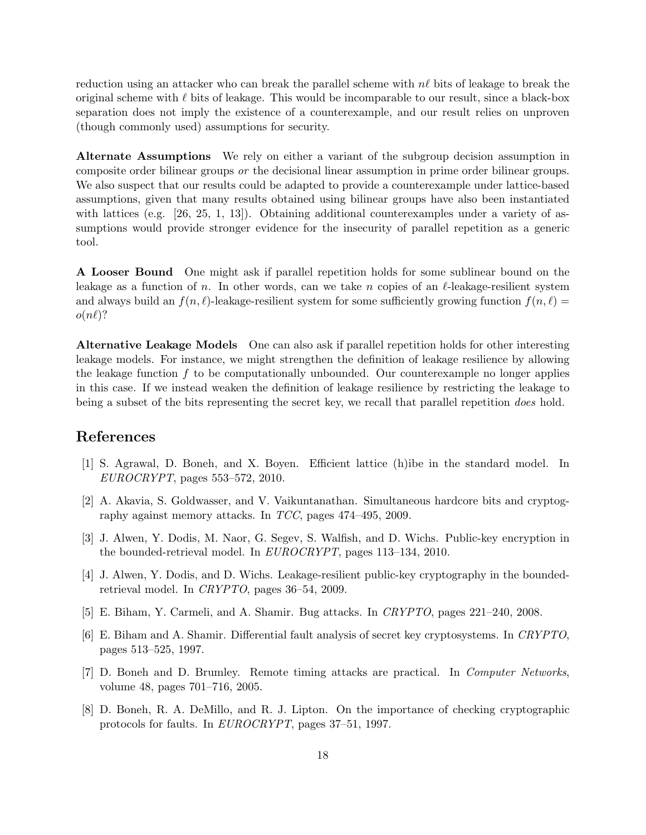reduction using an attacker who can break the parallel scheme with  $n\ell$  bits of leakage to break the original scheme with  $\ell$  bits of leakage. This would be incomparable to our result, since a black-box separation does not imply the existence of a counterexample, and our result relies on unproven (though commonly used) assumptions for security.

Alternate Assumptions We rely on either a variant of the subgroup decision assumption in composite order bilinear groups or the decisional linear assumption in prime order bilinear groups. We also suspect that our results could be adapted to provide a counterexample under lattice-based assumptions, given that many results obtained using bilinear groups have also been instantiated with lattices (e.g.  $[26, 25, 1, 13]$ ). Obtaining additional counterexamples under a variety of assumptions would provide stronger evidence for the insecurity of parallel repetition as a generic tool.

A Looser Bound One might ask if parallel repetition holds for some sublinear bound on the leakage as a function of n. In other words, can we take n copies of an  $\ell$ -leakage-resilient system and always build an  $f(n, \ell)$ -leakage-resilient system for some sufficiently growing function  $f(n, \ell)$  =  $o(n\ell)$ ?

Alternative Leakage Models One can also ask if parallel repetition holds for other interesting leakage models. For instance, we might strengthen the definition of leakage resilience by allowing the leakage function  $f$  to be computationally unbounded. Our counterexample no longer applies in this case. If we instead weaken the definition of leakage resilience by restricting the leakage to being a subset of the bits representing the secret key, we recall that parallel repetition *does* hold.

## References

- [1] S. Agrawal, D. Boneh, and X. Boyen. Efficient lattice (h)ibe in the standard model. In EUROCRYPT, pages 553–572, 2010.
- [2] A. Akavia, S. Goldwasser, and V. Vaikuntanathan. Simultaneous hardcore bits and cryptography against memory attacks. In TCC, pages 474–495, 2009.
- [3] J. Alwen, Y. Dodis, M. Naor, G. Segev, S. Walfish, and D. Wichs. Public-key encryption in the bounded-retrieval model. In EUROCRYPT, pages 113–134, 2010.
- [4] J. Alwen, Y. Dodis, and D. Wichs. Leakage-resilient public-key cryptography in the boundedretrieval model. In CRYPTO, pages 36–54, 2009.
- [5] E. Biham, Y. Carmeli, and A. Shamir. Bug attacks. In CRYPTO, pages 221–240, 2008.
- [6] E. Biham and A. Shamir. Differential fault analysis of secret key cryptosystems. In CRYPTO, pages 513–525, 1997.
- [7] D. Boneh and D. Brumley. Remote timing attacks are practical. In Computer Networks, volume 48, pages 701–716, 2005.
- [8] D. Boneh, R. A. DeMillo, and R. J. Lipton. On the importance of checking cryptographic protocols for faults. In EUROCRYPT, pages 37–51, 1997.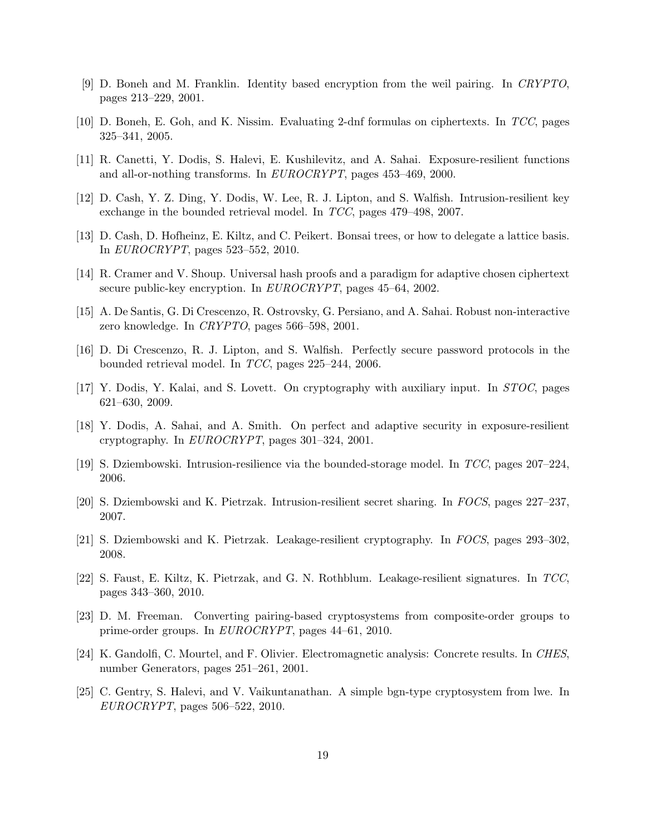- [9] D. Boneh and M. Franklin. Identity based encryption from the weil pairing. In CRYPTO, pages 213–229, 2001.
- [10] D. Boneh, E. Goh, and K. Nissim. Evaluating 2-dnf formulas on ciphertexts. In TCC, pages 325–341, 2005.
- [11] R. Canetti, Y. Dodis, S. Halevi, E. Kushilevitz, and A. Sahai. Exposure-resilient functions and all-or-nothing transforms. In EUROCRYPT, pages 453–469, 2000.
- [12] D. Cash, Y. Z. Ding, Y. Dodis, W. Lee, R. J. Lipton, and S. Walfish. Intrusion-resilient key exchange in the bounded retrieval model. In TCC, pages 479–498, 2007.
- [13] D. Cash, D. Hofheinz, E. Kiltz, and C. Peikert. Bonsai trees, or how to delegate a lattice basis. In EUROCRYPT, pages 523–552, 2010.
- [14] R. Cramer and V. Shoup. Universal hash proofs and a paradigm for adaptive chosen ciphertext secure public-key encryption. In EUROCRYPT, pages 45–64, 2002.
- [15] A. De Santis, G. Di Crescenzo, R. Ostrovsky, G. Persiano, and A. Sahai. Robust non-interactive zero knowledge. In CRYPTO, pages 566–598, 2001.
- [16] D. Di Crescenzo, R. J. Lipton, and S. Walfish. Perfectly secure password protocols in the bounded retrieval model. In TCC, pages 225–244, 2006.
- [17] Y. Dodis, Y. Kalai, and S. Lovett. On cryptography with auxiliary input. In STOC, pages 621–630, 2009.
- [18] Y. Dodis, A. Sahai, and A. Smith. On perfect and adaptive security in exposure-resilient cryptography. In EUROCRYPT, pages 301–324, 2001.
- [19] S. Dziembowski. Intrusion-resilience via the bounded-storage model. In TCC, pages 207–224, 2006.
- [20] S. Dziembowski and K. Pietrzak. Intrusion-resilient secret sharing. In FOCS, pages 227–237, 2007.
- [21] S. Dziembowski and K. Pietrzak. Leakage-resilient cryptography. In FOCS, pages 293–302, 2008.
- [22] S. Faust, E. Kiltz, K. Pietrzak, and G. N. Rothblum. Leakage-resilient signatures. In TCC, pages 343–360, 2010.
- [23] D. M. Freeman. Converting pairing-based cryptosystems from composite-order groups to prime-order groups. In EUROCRYPT, pages 44–61, 2010.
- [24] K. Gandolfi, C. Mourtel, and F. Olivier. Electromagnetic analysis: Concrete results. In CHES, number Generators, pages 251–261, 2001.
- [25] C. Gentry, S. Halevi, and V. Vaikuntanathan. A simple bgn-type cryptosystem from lwe. In EUROCRYPT, pages 506–522, 2010.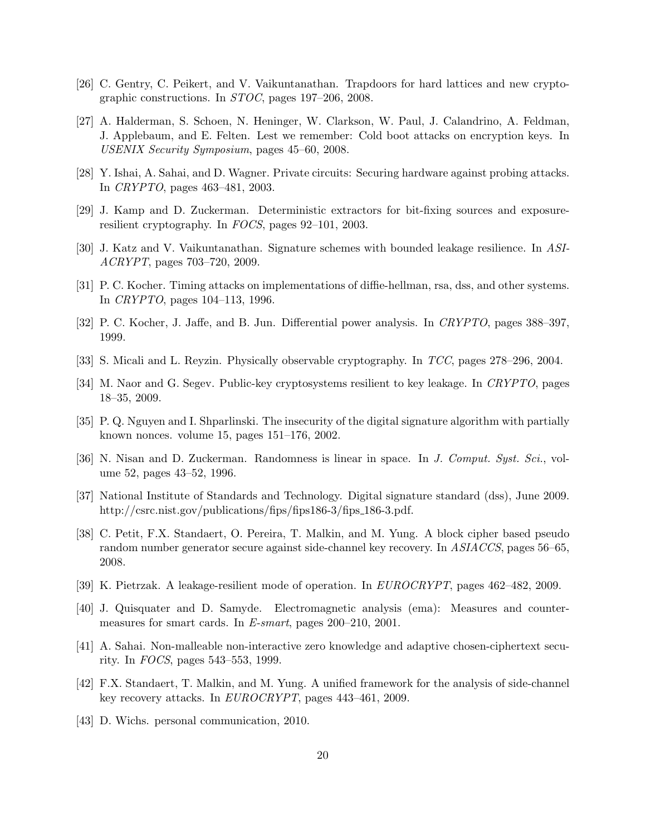- [26] C. Gentry, C. Peikert, and V. Vaikuntanathan. Trapdoors for hard lattices and new cryptographic constructions. In STOC, pages 197–206, 2008.
- [27] A. Halderman, S. Schoen, N. Heninger, W. Clarkson, W. Paul, J. Calandrino, A. Feldman, J. Applebaum, and E. Felten. Lest we remember: Cold boot attacks on encryption keys. In USENIX Security Symposium, pages 45–60, 2008.
- [28] Y. Ishai, A. Sahai, and D. Wagner. Private circuits: Securing hardware against probing attacks. In CRYPTO, pages 463–481, 2003.
- [29] J. Kamp and D. Zuckerman. Deterministic extractors for bit-fixing sources and exposureresilient cryptography. In FOCS, pages 92–101, 2003.
- [30] J. Katz and V. Vaikuntanathan. Signature schemes with bounded leakage resilience. In ASI-ACRYPT, pages 703–720, 2009.
- [31] P. C. Kocher. Timing attacks on implementations of diffie-hellman, rsa, dss, and other systems. In CRYPTO, pages 104–113, 1996.
- [32] P. C. Kocher, J. Jaffe, and B. Jun. Differential power analysis. In CRYPTO, pages 388–397, 1999.
- [33] S. Micali and L. Reyzin. Physically observable cryptography. In TCC, pages 278–296, 2004.
- [34] M. Naor and G. Segev. Public-key cryptosystems resilient to key leakage. In CRYPTO, pages 18–35, 2009.
- [35] P. Q. Nguyen and I. Shparlinski. The insecurity of the digital signature algorithm with partially known nonces. volume 15, pages 151–176, 2002.
- [36] N. Nisan and D. Zuckerman. Randomness is linear in space. In J. Comput. Syst. Sci., volume 52, pages 43–52, 1996.
- [37] National Institute of Standards and Technology. Digital signature standard (dss), June 2009. http://csrc.nist.gov/publications/fips/fips186-3/fips\_186-3.pdf.
- [38] C. Petit, F.X. Standaert, O. Pereira, T. Malkin, and M. Yung. A block cipher based pseudo random number generator secure against side-channel key recovery. In ASIACCS, pages 56–65, 2008.
- [39] K. Pietrzak. A leakage-resilient mode of operation. In EUROCRYPT, pages 462–482, 2009.
- [40] J. Quisquater and D. Samyde. Electromagnetic analysis (ema): Measures and countermeasures for smart cards. In E-smart, pages 200–210, 2001.
- [41] A. Sahai. Non-malleable non-interactive zero knowledge and adaptive chosen-ciphertext security. In FOCS, pages 543–553, 1999.
- [42] F.X. Standaert, T. Malkin, and M. Yung. A unified framework for the analysis of side-channel key recovery attacks. In EUROCRYPT, pages 443–461, 2009.
- [43] D. Wichs. personal communication, 2010.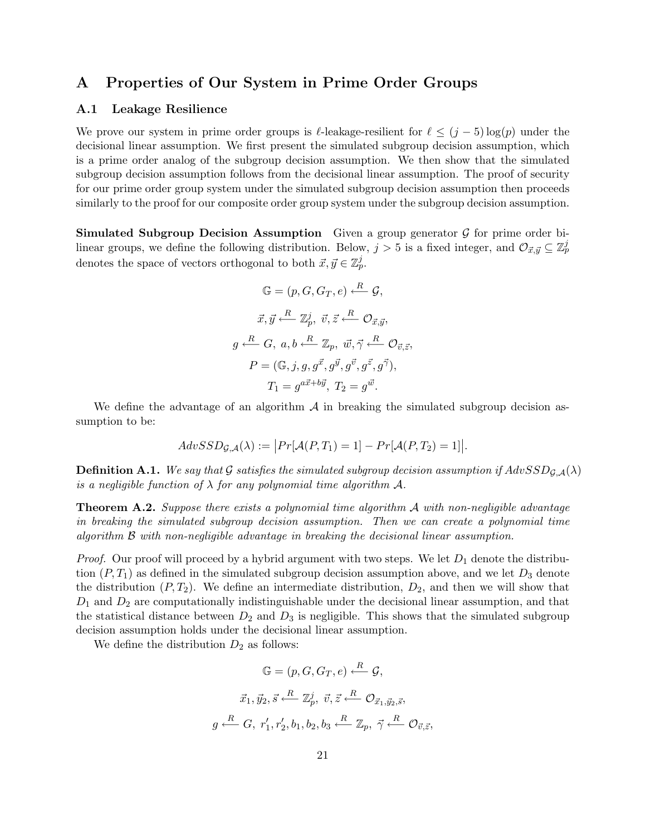## A Properties of Our System in Prime Order Groups

#### A.1 Leakage Resilience

We prove our system in prime order groups is  $\ell$ -leakage-resilient for  $\ell \leq (j - 5) \log(p)$  under the decisional linear assumption. We first present the simulated subgroup decision assumption, which is a prime order analog of the subgroup decision assumption. We then show that the simulated subgroup decision assumption follows from the decisional linear assumption. The proof of security for our prime order group system under the simulated subgroup decision assumption then proceeds similarly to the proof for our composite order group system under the subgroup decision assumption.

**Simulated Subgroup Decision Assumption** Given a group generator  $\mathcal{G}$  for prime order bilinear groups, we define the following distribution. Below,  $j > 5$  is a fixed integer, and  $\mathcal{O}_{\vec{x},\vec{y}} \subseteq \mathbb{Z}_p^j$ denotes the space of vectors orthogonal to both  $\vec{x}, \vec{y} \in \mathbb{Z}_p^j$ .

$$
\mathbb{G} = (p, G, G_T, e) \xleftarrow{R} \mathcal{G},
$$

$$
\vec{x}, \vec{y} \xleftarrow{R} \mathbb{Z}_p^j, \ \vec{v}, \vec{z} \xleftarrow{R} \mathcal{O}_{\vec{x}, \vec{y}},
$$

$$
g \xleftarrow{R} G, \ a, b \xleftarrow{R} \mathbb{Z}_p, \ \vec{w}, \vec{\gamma} \xleftarrow{R} \mathcal{O}_{\vec{v}, \vec{z}},
$$

$$
P = (\mathbb{G}, j, g, g^{\vec{x}}, g^{\vec{y}}, g^{\vec{v}}, g^{\vec{z}}, g^{\vec{\gamma}}),
$$

$$
T_1 = g^{a\vec{x} + b\vec{y}}, \ T_2 = g^{\vec{w}}.
$$

We define the advantage of an algorithm  $\mathcal A$  in breaking the simulated subgroup decision assumption to be:

$$
AdvSSD_{\mathcal{G},\mathcal{A}}(\lambda) := \big| Pr[\mathcal{A}(P,T_1) = 1] - Pr[\mathcal{A}(P,T_2) = 1] \big|.
$$

**Definition A.1.** We say that G satisfies the simulated subgroup decision assumption if  $AdvSSD_{G,\mathcal{A}}(\lambda)$ is a negligible function of  $\lambda$  for any polynomial time algorithm  $\mathcal{A}$ .

**Theorem A.2.** Suppose there exists a polynomial time algorithm  $\mathcal A$  with non-negligible advantage in breaking the simulated subgroup decision assumption. Then we can create a polynomial time algorithm B with non-negligible advantage in breaking the decisional linear assumption.

*Proof.* Our proof will proceed by a hybrid argument with two steps. We let  $D_1$  denote the distribution  $(P, T_1)$  as defined in the simulated subgroup decision assumption above, and we let  $D_3$  denote the distribution  $(P, T_2)$ . We define an intermediate distribution,  $D_2$ , and then we will show that  $D_1$  and  $D_2$  are computationally indistinguishable under the decisional linear assumption, and that the statistical distance between  $D_2$  and  $D_3$  is negligible. This shows that the simulated subgroup decision assumption holds under the decisional linear assumption.

We define the distribution  $D_2$  as follows:

$$
\mathbb{G} = (p, G, G_T, e) \xleftarrow{R} \mathcal{G},
$$

$$
\vec{x}_1, \vec{y}_2, \vec{s} \xleftarrow{R} \mathbb{Z}_p^j, \ \vec{v}, \vec{z} \xleftarrow{R} \mathcal{O}_{\vec{x}_1, \vec{y}_2, \vec{s}},
$$

$$
g \xleftarrow{R} G, \ r'_1, r'_2, b_1, b_2, b_3 \xleftarrow{R} \mathbb{Z}_p, \ \vec{\gamma} \xleftarrow{R} \mathcal{O}_{\vec{v}, \vec{z}},
$$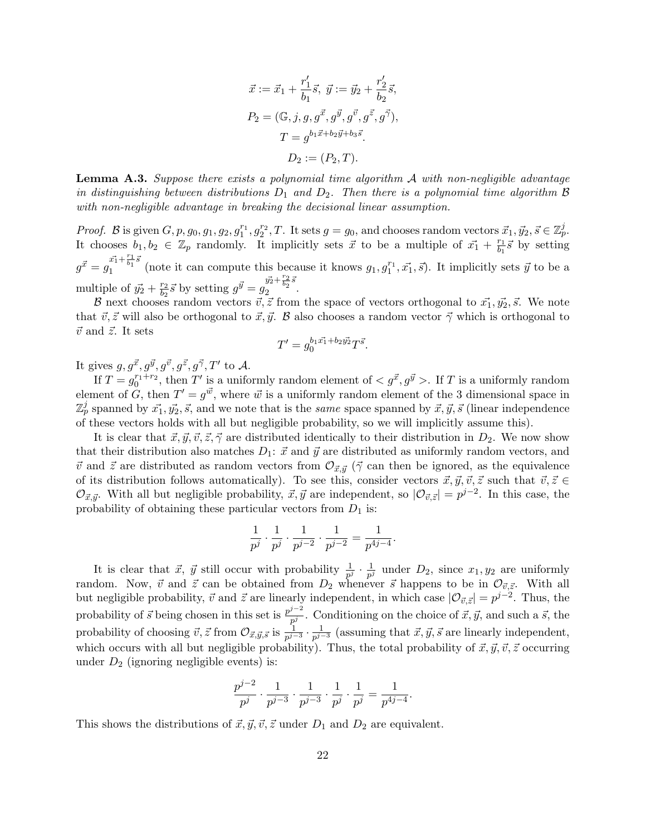$$
\vec{x} := \vec{x}_1 + \frac{r'_1}{b_1}\vec{s}, \ \vec{y} := \vec{y}_2 + \frac{r'_2}{b_2}\vec{s},
$$

$$
P_2 = (\mathbb{G}, j, g, g^{\vec{x}}, g^{\vec{y}}, g^{\vec{v}}, g^{\vec{z}}, g^{\vec{\gamma}}),
$$

$$
T = g^{b_1\vec{x} + b_2\vec{y} + b_3\vec{s}}.
$$

$$
D_2 := (P_2, T).
$$

**Lemma A.3.** Suppose there exists a polynomial time algorithm  $\mathcal{A}$  with non-negligible advantage in distinguishing between distributions  $D_1$  and  $D_2$ . Then there is a polynomial time algorithm  $\beta$ with non-negligible advantage in breaking the decisional linear assumption.

*Proof.* B is given  $G, p, g_0, g_1, g_2, g_1^{r_1}, g_2^{r_2}, T$ . It sets  $g = g_0$ , and chooses random vectors  $\vec{x}_1, \vec{y}_2, \vec{s} \in \mathbb{Z}_p^j$ . It chooses  $b_1, b_2 \in \mathbb{Z}_p$  randomly. It implicitly sets  $\vec{x}$  to be a multiple of  $\vec{x_1} + \frac{r_1}{b_1}$  $\frac{r_1}{b_1} \vec{s}$  by setting  $g^{\vec{x}}=g_1^{\vec{x_1}+\frac{r_1}{b_1}\bar{s}}$  $\frac{x_1 + \overline{b_1}^s}{x_1 + \overline{b_1}^s}$  (note it can compute this because it knows  $g_1, g_1^{r_1}, \overrightarrow{x_1}, \overrightarrow{s}$ ). It implicitly sets  $\overrightarrow{y}$  to be a multiple of  $\vec{y_2} + \frac{r_2}{b_2}$  $\frac{r_2}{b_2} \vec{s}$  by setting  $g^{\vec{y}} = g_2^{\vec{y_2} + \frac{r_2}{b_2} \vec{s}}$  $\frac{1}{2}$   $\frac{b_2}{2}$ .

B next chooses random vectors  $\vec{v}, \vec{z}$  from the space of vectors orthogonal to  $\vec{x_1}, \vec{y_2}, \vec{s}$ . We note that  $\vec{v}, \vec{z}$  will also be orthogonal to  $\vec{x}, \vec{y}$ . B also chooses a random vector  $\vec{\gamma}$  which is orthogonal to  $\vec{v}$  and  $\vec{z}$ . It sets

$$
T' = g_0^{b_1 \vec{x_1} + b_2 \vec{y_2}} T^{\vec{s}}.
$$

It gives  $g, g^{\vec{x}}, g^{\vec{y}}, g^{\vec{v}}, g^{\vec{z}}, g^{\vec{\gamma}}, T'$  to A.

If  $T = g_0^{r_1+r_2}$ , then T' is a uniformly random element of  $\langle g^{\vec{x}}, g^{\vec{y}} \rangle$ . If T is a uniformly random element of G, then  $T' = g^{\vec{w}}$ , where  $\vec{w}$  is a uniformly random element of the 3 dimensional space in  $\mathbb{Z}_p^j$  spanned by  $\vec{x_1}, \vec{y_2}, \vec{s}$ , and we note that is the same space spanned by  $\vec{x}, \vec{y}, \vec{s}$  (linear independence of these vectors holds with all but negligible probability, so we will implicitly assume this).

It is clear that  $\vec{x}, \vec{y}, \vec{v}, \vec{z}, \vec{\gamma}$  are distributed identically to their distribution in  $D_2$ . We now show that their distribution also matches  $D_1$ :  $\vec{x}$  and  $\vec{y}$  are distributed as uniformly random vectors, and  $\vec{v}$  and  $\vec{z}$  are distributed as random vectors from  $\mathcal{O}_{\vec{x},\vec{y}}$  ( $\vec{\gamma}$  can then be ignored, as the equivalence of its distribution follows automatically). To see this, consider vectors  $\vec{x}, \vec{y}, \vec{v}, \vec{z}$  such that  $\vec{v}, \vec{z} \in$  $\mathcal{O}_{\vec{x}, \vec{y}}$ . With all but negligible probability,  $\vec{x}, \vec{y}$  are independent, so  $|\mathcal{O}_{\vec{v}, \vec{z}}| = p^{j-2}$ . In this case, the probability of obtaining these particular vectors from  $D_1$  is:

$$
\frac{1}{p^j} \cdot \frac{1}{p^j} \cdot \frac{1}{p^{j-2}} \cdot \frac{1}{p^{j-2}} = \frac{1}{p^{4j-4}}.
$$

It is clear that  $\vec{x}, \ \vec{y}$  still occur with probability  $\frac{1}{p^j} \cdot \frac{1}{p^j}$  $\frac{1}{p^j}$  under  $D_2$ , since  $x_1, y_2$  are uniformly random. Now,  $\vec{v}$  and  $\vec{z}$  can be obtained from  $D_2$  whenever  $\vec{s}$  happens to be in  $\mathcal{O}_{\vec{v},\vec{z}}$ . With all but negligible probability,  $\vec{v}$  and  $\vec{z}$  are linearly independent, in which case  $|\mathcal{O}_{\vec{v}, \vec{z}}| = p^{j-2}$ . Thus, the probability of  $\vec{s}$  being chosen in this set is  $\frac{p^{j-2}}{p^j}$  $\frac{\partial^2}{\partial p^j}$ . Conditioning on the choice of  $\vec{x}, \vec{y}$ , and such a  $\vec{s}$ , the probability of choosing  $\vec{v}, \vec{z}$  from  $\mathcal{O}_{\vec{x}, \vec{y}, \vec{s}}$  is  $\frac{1}{p^{j-3}} \cdot \frac{1}{p^{j-3}}$  $\frac{1}{p^{j-3}}$  (assuming that  $\vec{x}, \vec{y}, \vec{s}$  are linearly independent, which occurs with all but negligible probability). Thus, the total probability of  $\vec{x}, \vec{y}, \vec{v}, \vec{z}$  occurring under  $D_2$  (ignoring negligible events) is:

$$
\frac{p^{j-2}}{p^j}\cdot \frac{1}{p^{j-3}}\cdot \frac{1}{p^{j-3}}\cdot \frac{1}{p^j}\cdot \frac{1}{p^j}=\frac{1}{p^{4j-4}}.
$$

This shows the distributions of  $\vec{x}, \vec{y}, \vec{v}, \vec{z}$  under  $D_1$  and  $D_2$  are equivalent.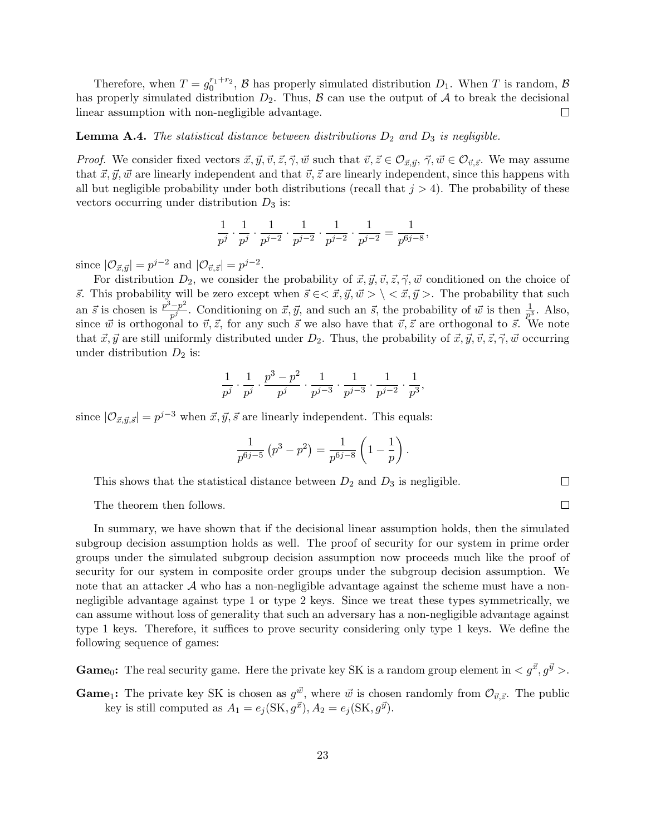Therefore, when  $T = g_0^{r_1+r_2}$ ,  $\beta$  has properly simulated distribution  $D_1$ . When T is random,  $\beta$ has properly simulated distribution  $D_2$ . Thus,  $\beta$  can use the output of  $\mathcal A$  to break the decisional linear assumption with non-negligible advantage.  $\Box$ 

#### **Lemma A.4.** The statistical distance between distributions  $D_2$  and  $D_3$  is negligible.

*Proof.* We consider fixed vectors  $\vec{x}, \vec{y}, \vec{v}, \vec{z}, \vec{\gamma}, \vec{w}$  such that  $\vec{v}, \vec{z} \in \mathcal{O}_{\vec{x}, \vec{y}}, \vec{\gamma}, \vec{w} \in \mathcal{O}_{\vec{v}, \vec{z}}$ . We may assume that  $\vec{x}, \vec{y}, \vec{w}$  are linearly independent and that  $\vec{v}, \vec{z}$  are linearly independent, since this happens with all but negligible probability under both distributions (recall that  $j > 4$ ). The probability of these vectors occurring under distribution  $D_3$  is:

$$
\frac{1}{p^j} \cdot \frac{1}{p^j} \cdot \frac{1}{p^{j-2}} \cdot \frac{1}{p^{j-2}} \cdot \frac{1}{p^{j-2}} \cdot \frac{1}{p^{j-2}} = \frac{1}{p^{6j-8}},
$$

since  $|\mathcal{O}_{\vec{x}, \vec{y}}| = p^{j-2}$  and  $|\mathcal{O}_{\vec{v}, \vec{z}}| = p^{j-2}$ .

For distribution  $D_2$ , we consider the probability of  $\vec{x}, \vec{y}, \vec{v}, \vec{z}, \vec{\gamma}, \vec{w}$  conditioned on the choice of  $\vec{s}$ . This probability will be zero except when  $\vec{s} \in \langle \vec{x}, \vec{y}, \vec{w} \rangle \langle \langle \vec{x}, \vec{y} \rangle$ . The probability that such an  $\vec{s}$  is chosen is  $\frac{p^3-p^2}{p^2}$  $\frac{-p^2}{p^j}$ . Conditioning on  $\vec{x}, \vec{y}$ , and such an  $\vec{s}$ , the probability of  $\vec{w}$  is then  $\frac{1}{p^3}$ . Also, since  $\vec{w}$  is orthogonal to  $\vec{v}, \vec{z}$ , for any such  $\vec{s}$  we also have that  $\vec{v}, \vec{z}$  are orthogonal to  $\vec{s}$ . We note that  $\vec{x}, \vec{y}$  are still uniformly distributed under  $D_2$ . Thus, the probability of  $\vec{x}, \vec{y}, \vec{v}, \vec{z}, \vec{\gamma}, \vec{w}$  occurring under distribution  $D_2$  is:

$$
\frac{1}{p^j} \cdot \frac{1}{p^j} \cdot \frac{p^3-p^2}{p^j} \cdot \frac{1}{p^{j-3}} \cdot \frac{1}{p^{j-3}} \cdot \frac{1}{p^{j-2}} \cdot \frac{1}{p^3},
$$

since  $|\mathcal{O}_{\vec{x},\vec{y},\vec{s}}| = p^{j-3}$  when  $\vec{x},\vec{y},\vec{s}$  are linearly independent. This equals:

$$
\frac{1}{p^{6j-5}} (p^3 - p^2) = \frac{1}{p^{6j-8}} \left( 1 - \frac{1}{p} \right).
$$

This shows that the statistical distance between  $D_2$  and  $D_3$  is negligible.

The theorem then follows.

In summary, we have shown that if the decisional linear assumption holds, then the simulated subgroup decision assumption holds as well. The proof of security for our system in prime order groups under the simulated subgroup decision assumption now proceeds much like the proof of security for our system in composite order groups under the subgroup decision assumption. We note that an attacker  $\mathcal A$  who has a non-negligible advantage against the scheme must have a nonnegligible advantage against type 1 or type 2 keys. Since we treat these types symmetrically, we can assume without loss of generality that such an adversary has a non-negligible advantage against type 1 keys. Therefore, it suffices to prove security considering only type 1 keys. We define the following sequence of games:

**Game**<sub>0</sub>: The real security game. Here the private key SK is a random group element in  $\langle g^{\vec{x}}, g^{\vec{y}} \rangle$ .

**Game**<sub>1</sub>: The private key SK is chosen as  $g^{\vec{w}}$ , where  $\vec{w}$  is chosen randomly from  $\mathcal{O}_{\vec{v},\vec{z}}$ . The public key is still computed as  $A_1 = e_j(\text{SK}, g^{\vec{x}}), A_2 = e_j(\text{SK}, g^{\vec{y}}).$ 

 $\Box$ 

 $\Box$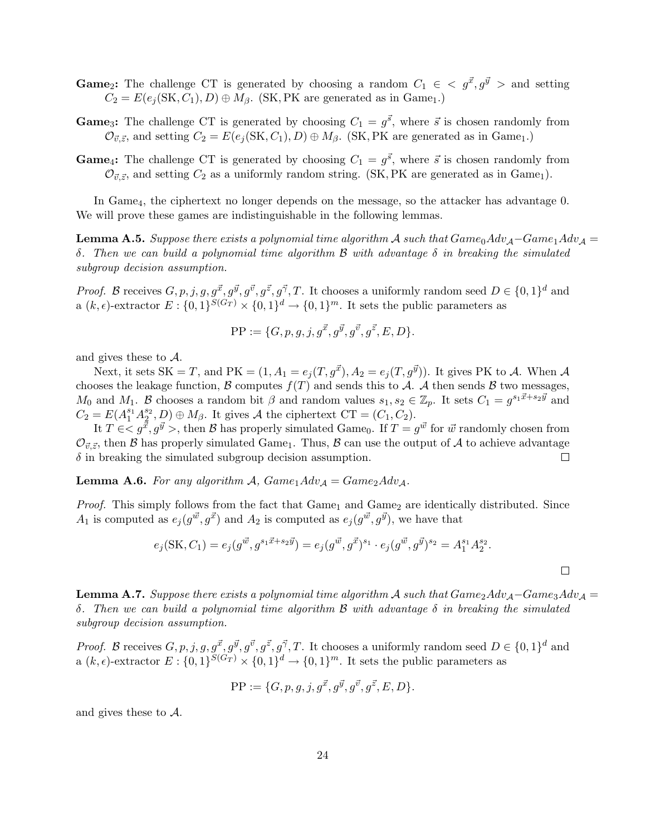- **Game**<sub>2</sub>: The challenge CT is generated by choosing a random  $C_1 \in \langle g^{\vec{x}}, g^{\vec{y}} \rangle$  and setting  $C_2 = E(e_i(\text{SK}, C_1), D) \oplus M_\beta$ . (SK, PK are generated as in Game<sub>1</sub>.)
- **Game**<sub>3</sub>: The challenge CT is generated by choosing  $C_1 = g^{\vec{s}}$ , where  $\vec{s}$  is chosen randomly from  $\mathcal{O}_{\vec{v},\vec{z}}$ , and setting  $C_2 = E(e_i(\text{SK}, C_1), D) \oplus M_\beta$ . (SK, PK are generated as in Game<sub>1</sub>.)
- **Game**<sub>4</sub>: The challenge CT is generated by choosing  $C_1 = g^{\vec{s}}$ , where  $\vec{s}$  is chosen randomly from  $\mathcal{O}_{\vec{v},\vec{z}}$ , and setting  $C_2$  as a uniformly random string. (SK, PK are generated as in Game<sub>1</sub>).

In Game<sub>4</sub>, the ciphertext no longer depends on the message, so the attacker has advantage 0. We will prove these games are indistinguishable in the following lemmas.

**Lemma A.5.** Suppose there exists a polynomial time algorithm A such that  $Game_0Adv_{\mathcal{A}}-Game_1Adv_{\mathcal{A}}=$ δ. Then we can build a polynomial time algorithm B with advantage δ in breaking the simulated subgroup decision assumption.

*Proof.* B receives  $G, p, j, g, g^{\vec{x}}, g^{\vec{y}}, g^{\vec{z}}, g^{\vec{z}}, g^{\vec{\gamma}}, T$ . It chooses a uniformly random seed  $D \in \{0, 1\}^d$  and a  $(k, \epsilon)$ -extractor  $E: \{0,1\}^{S(G_T)} \times \{0,1\}^d \rightarrow \{0,1\}^m$ . It sets the public parameters as

$$
PP := \{G, p, g, j, g^{\vec{x}}, g^{\vec{y}}, g^{\vec{v}}, g^{\vec{z}}, E, D\}.
$$

and gives these to A.

Next, it sets SK = T, and PK =  $(1, A_1 = e_i(T, g^{\vec{x}}), A_2 = e_i(T, g^{\vec{y}}))$ . It gives PK to A. When A chooses the leakage function,  $\mathcal B$  computes  $f(T)$  and sends this to  $\mathcal A$ . A then sends  $\mathcal B$  two messages,  $M_0$  and  $M_1$ . B chooses a random bit  $\beta$  and random values  $s_1, s_2 \in \mathbb{Z}_p$ . It sets  $C_1 = g^{s_1\vec{x} + s_2\vec{y}}$  and  $C_2 = E(A_1^{s_1} A_2^{s_2}, D) \oplus M_\beta$ . It gives A the ciphertext  $CT = (C_1, C_2)$ .

It  $T \in ,$  then  ${\cal B}$  has properly simulated Game<sub>0</sub>. If  $T = g^{\vec{w}}$  for  $\vec{w}$  randomly chosen from  $\mathcal{O}_{\vec{v},\vec{z}}$ , then B has properly simulated Game<sub>1</sub>. Thus, B can use the output of A to achieve advantage  $\delta$  in breaking the simulated subgroup decision assumption.  $\Box$ 

**Lemma A.6.** For any algorithm A,  $Game_1Adv_A = Game_2Adv_A$ .

*Proof.* This simply follows from the fact that  $Game_1$  and  $Game_2$  are identically distributed. Since  $A_1$  is computed as  $e_j(g^{\vec{w}}, g^{\vec{x}})$  and  $A_2$  is computed as  $e_j(g^{\vec{w}}, g^{\vec{y}})$ , we have that

$$
e_j(\text{SK}, C_1) = e_j(g^{\vec{w}}, g^{s_1\vec{x} + s_2\vec{y}}) = e_j(g^{\vec{w}}, g^{\vec{x}})^{s_1} \cdot e_j(g^{\vec{w}}, g^{\vec{y}})^{s_2} = A_1^{s_1} A_2^{s_2}.
$$

 $\Box$ 

**Lemma A.7.** Suppose there exists a polynomial time algorithm A such that  $Game_2Adv_{\mathcal{A}}-Game_3Adv_{\mathcal{A}}=$ δ. Then we can build a polynomial time algorithm B with advantage δ in breaking the simulated subgroup decision assumption.

*Proof.* B receives  $G, p, j, g, g^{\vec{x}}, g^{\vec{y}}, g^{\vec{z}}, g^{\vec{z}}, g^{\vec{\gamma}}, T$ . It chooses a uniformly random seed  $D \in \{0, 1\}^d$  and a  $(k, \epsilon)$ -extractor  $E: \{0,1\}^{S(G_T)} \times \{0,1\}^d \rightarrow \{0,1\}^m$ . It sets the public parameters as

$$
PP := \{G, p, g, j, g^{\vec{x}}, g^{\vec{y}}, g^{\vec{v}}, g^{\vec{z}}, E, D\}.
$$

and gives these to A.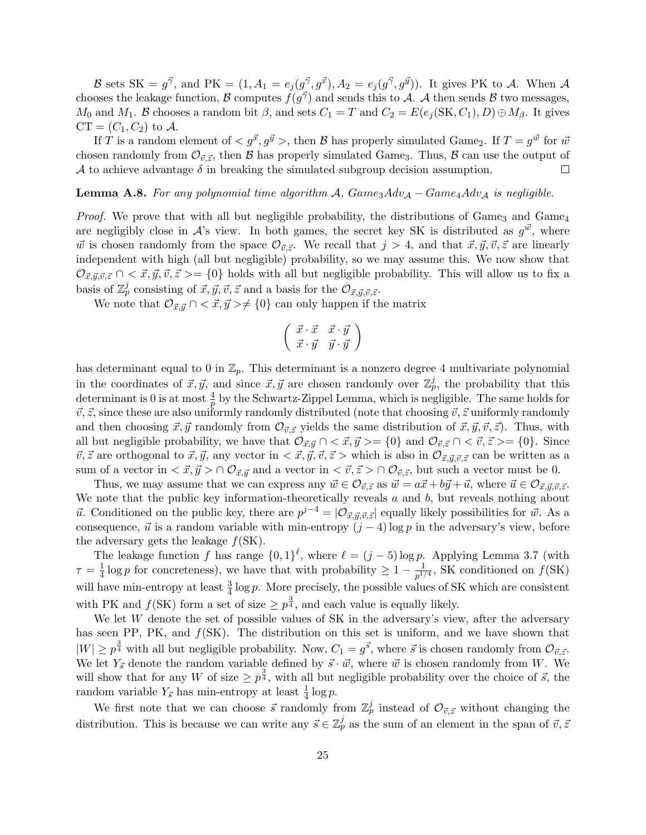B sets SK =  $g^{\vec{\gamma}}$ , and PK =  $(1, A_1 = e_j(g^{\vec{\gamma}}, g^{\vec{x}}), A_2 = e_j(g^{\vec{\gamma}}, g^{\vec{y}}))$ . It gives PK to A. When A chooses the leakage function, B computes  $\hat{f}(g^{\vec{\gamma}})$  and sends this to A. A then sends B two messages,  $M_0$  and  $M_1$ . B chooses a random bit  $\beta$ , and sets  $C_1 = T$  and  $C_2 = E(e_j(\text{SK}, C_1), D) \oplus M_{\beta}$ . It gives  $CT = (C_1, C_2)$  to A.

If T is a random element of  $\langle g^{\vec{x}}, g^{\vec{y}} \rangle$ , then B has properly simulated Game<sub>2</sub>. If  $T = g^{\vec{w}}$  for  $\vec{w}$ chosen randomly from  $\mathcal{O}_{\vec{v},\vec{z}},$  then  $\vec{B}$  has properly simulated Game<sub>3</sub>. Thus,  $\vec{B}$  can use the output of A to achieve advantage  $\delta$  in breaking the simulated subgroup decision assumption.

#### **Lemma A.8.** For any polynomial time algorithm A,  $Game_3Adv_A - Game_4Adv_A$  is negligible.

*Proof.* We prove that with all but negligible probability, the distributions of Game<sub>3</sub> and Game<sub>4</sub> are negligibly close in  $\mathcal{A}$ 's view. In both games, the secret key SK is distributed as  $g^{\vec{w}}$ , where  $\vec{w}$  is chosen randomly from the space  $\mathcal{O}_{\vec{v},\vec{z}}$ . We recall that  $j > 4$ , and that  $\vec{x}, \vec{y}, \vec{v}, \vec{z}$  are linearly independent with high (all but negligible) probability, so we may assume this. We now show that  $\mathcal{O}_{\vec{x},\vec{y},\vec{v},\vec{z}} \cap \langle \vec{x},\vec{y},\vec{v},\vec{z}\rangle = \{0\}$  holds with all but negligible probability. This will allow us to fix a basis of  $\mathbb{Z}_p^j$  consisting of  $\vec{x}, \vec{y}, \vec{v}, \vec{z}$  and a basis for the  $\mathcal{O}_{\vec{x}, \vec{y}, \vec{v}, \vec{z}}$ .

We note that  $\mathcal{O}_{\vec{x}, \vec{y}} \cap \langle \vec{x}, \vec{y} \rangle \neq \{0\}$  can only happen if the matrix

$$
\left(\begin{array}{cc} \vec{x}\cdot\vec{x} & \vec{x}\cdot\vec{y} \\ \vec{x}\cdot\vec{y} & \vec{y}\cdot\vec{y} \end{array}\right)
$$

has determinant equal to 0 in  $\mathbb{Z}_p$ . This determinant is a nonzero degree 4 multivariate polynomial in the coordinates of  $\vec{x}, \vec{y}$ , and since  $\vec{x}, \vec{y}$  are chosen randomly over  $\mathbb{Z}_p^j$ , the probability that this determinant is 0 is at most  $\frac{4}{p}$  by the Schwartz-Zippel Lemma, which is negligible. The same holds for  $\vec{v}, \vec{z}$ , since these are also uniformly randomly distributed (note that choosing  $\vec{v}, \vec{z}$  uniformly randomly and then choosing  $\vec{x}, \vec{y}$  randomly from  $\mathcal{O}_{\vec{v}, \vec{z}}$  yields the same distribution of  $\vec{x}, \vec{y}, \vec{v}, \vec{z}$ . Thus, with all but negligible probability, we have that  $\mathcal{O}_{\vec{x},\vec{y}} \cap \langle \vec{x},\vec{y} \rangle = \{0\}$  and  $\mathcal{O}_{\vec{v},\vec{z}} \cap \langle \vec{v},\vec{z} \rangle = \{0\}$ . Since  $\vec{v}, \vec{z}$  are orthogonal to  $\vec{x}, \vec{y}$ , any vector in  $\langle \vec{x}, \vec{y}, \vec{v}, \vec{z} \rangle$  which is also in  $\mathcal{O}_{\vec{x}, \vec{y}, \vec{v}, \vec{z}}$  can be written as a sum of a vector in  $\langle \vec{x}, \vec{y} \rangle \cap \mathcal{O}_{\vec{x}, \vec{y}}$  and a vector in  $\langle \vec{v}, \vec{z} \rangle \cap \mathcal{O}_{\vec{v}, \vec{z}}$ , but such a vector must be 0.

Thus, we may assume that we can express any  $\vec{w} \in \mathcal{O}_{\vec{v}, \vec{z}}$  as  $\vec{w} = a\vec{x} + b\vec{y} + \vec{u}$ , where  $\vec{u} \in \mathcal{O}_{\vec{x}, \vec{y}, \vec{v}, \vec{z}}$ . We note that the public key information-theoretically reveals  $a$  and  $b$ , but reveals nothing about  $\vec{u}$ . Conditioned on the public key, there are  $p^{j-4} = |O_{\vec{x}, \vec{y}, \vec{v}, \vec{z}}|$  equally likely possibilities for  $\vec{w}$ . As a consequence,  $\vec{u}$  is a random variable with min-entropy  $(j-4) \log p$  in the adversary's view, before the adversary gets the leakage  $f(SK)$ .

The leakage function f has range  $\{0,1\}^{\ell}$ , where  $\ell = (j-5) \log p$ . Applying Lemma 3.7 (with  $\tau = \frac{1}{4}$  $\frac{1}{4}$  log p for concreteness), we have that with probability  $\geq 1 - \frac{1}{p^{1/4}}$  $\frac{1}{p^{1/4}}$ , SK conditioned on  $f(SK)$ will have min-entropy at least  $\frac{3}{4} \log p$ . More precisely, the possible values of SK which are consistent with PK and  $f(SK)$  form a set of size  $\geq p^{\frac{3}{4}}$ , and each value is equally likely.

We let W denote the set of possible values of SK in the adversary's view, after the adversary has seen PP, PK, and  $f(SK)$ . The distribution on this set is uniform, and we have shown that  $|W| \geq p^{\frac{3}{4}}$  with all but negligible probability. Now,  $C_1 = g^{\vec{s}}$ , where  $\vec{s}$  is chosen randomly from  $\mathcal{O}_{\vec{v}, \vec{z}}$ . We let  $Y_{\vec{s}}$  denote the random variable defined by  $\vec{s} \cdot \vec{w}$ , where  $\vec{w}$  is chosen randomly from W. We will show that for any W of size  $\geq p^{\frac{3}{4}}$ , with all but negligible probability over the choice of  $\vec{s}$ , the random variable  $Y_{\vec{s}}$  has min-entropy at least  $\frac{1}{4} \log p$ .

We first note that we can choose  $\vec{s}$  randomly from  $\mathbb{Z}_p^j$  instead of  $\mathcal{O}_{\vec{v},\vec{z}}$  without changing the distribution. This is because we can write any  $\vec{s} \in \mathbb{Z}_p^j$  as the sum of an element in the span of  $\vec{v}, \vec{z}$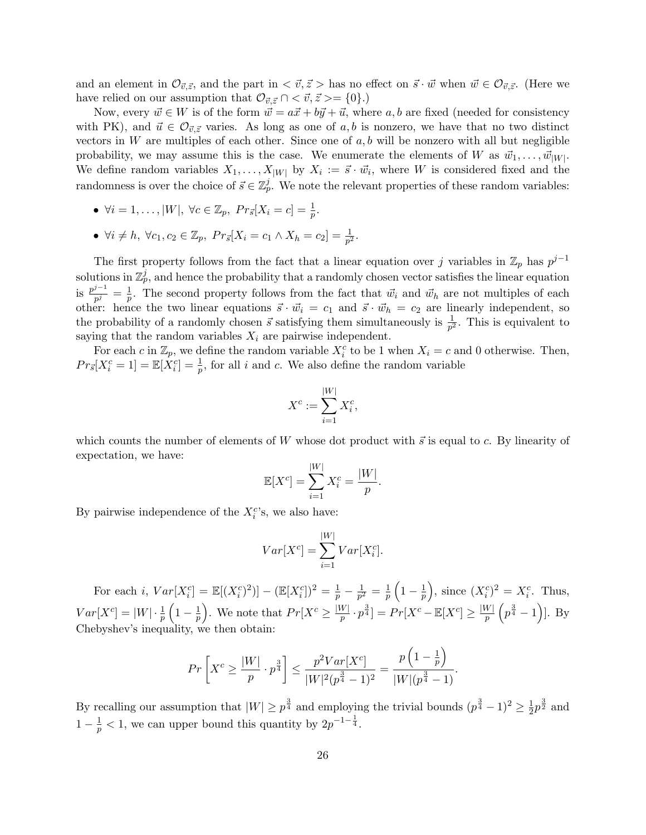and an element in  $\mathcal{O}_{\vec{v},\vec{z}}$ , and the part in  $\langle \vec{v}, \vec{z} \rangle$  has no effect on  $\vec{s} \cdot \vec{w}$  when  $\vec{w} \in \mathcal{O}_{\vec{v},\vec{z}}$ . (Here we have relied on our assumption that  $\mathcal{O}_{\vec{v},\vec{z}} \cap \langle \vec{v}, \vec{z} \rangle = \{0\}.$ 

Now, every  $\vec{w} \in W$  is of the form  $\vec{w} = a\vec{x} + b\vec{y} + \vec{u}$ , where a, b are fixed (needed for consistency with PK), and  $\vec{u} \in \mathcal{O}_{\vec{v},\vec{z}}$  varies. As long as one of  $a, b$  is nonzero, we have that no two distinct vectors in W are multiples of each other. Since one of  $a, b$  will be nonzero with all but negligible probability, we may assume this is the case. We enumerate the elements of W as  $\vec{w}_1, \dots, \vec{w}_{|W|}$ . We define random variables  $X_1, \ldots, X_{|W|}$  by  $X_i := \vec{s} \cdot \vec{w}_i$ , where W is considered fixed and the randomness is over the choice of  $\vec{s} \in \mathbb{Z}_p^j$ . We note the relevant properties of these random variables:

- $\forall i = 1, ..., |W|, \ \forall c \in \mathbb{Z}_p, \ Pr_{\vec{s}}[X_i = c] = \frac{1}{p}.$
- $\forall i \neq h, \ \forall c_1, c_2 \in \mathbb{Z}_p, \ Pr_{\vec{s}}[X_i = c_1 \land X_h = c_2] = \frac{1}{p^2}.$

The first property follows from the fact that a linear equation over j variables in  $\mathbb{Z}_p$  has  $p^{j-1}$ solutions in  $\mathbb{Z}_p^j$ , and hence the probability that a randomly chosen vector satisfies the linear equation is  $\frac{p^{j-1}}{p}$  $\frac{p^{-1}}{p^j}=\frac{1}{p}$  $\frac{1}{p}$ . The second property follows from the fact that  $\vec{w}_i$  and  $\vec{w}_h$  are not multiples of each other: hence the two linear equations  $\vec{s} \cdot \vec{w}_i = c_1$  and  $\vec{s} \cdot \vec{w}_h = c_2$  are linearly independent, so the probability of a randomly chosen  $\vec{s}$  satisfying them simultaneously is  $\frac{1}{p^2}$ . This is equivalent to saying that the random variables  $X_i$  are pairwise independent.

For each c in  $\mathbb{Z}_p$ , we define the random variable  $X_i^c$  to be 1 when  $X_i = c$  and 0 otherwise. Then,  $Pr_{\vec{s}}[X_i^c = 1] = \mathbb{E}[X_i^c] = \frac{1}{p}$ , for all i and c. We also define the random variable

$$
X^c := \sum_{i=1}^{|W|} X_i^c,
$$

which counts the number of elements of W whose dot product with  $\vec{s}$  is equal to c. By linearity of expectation, we have:

$$
\mathbb{E}[X^{c}] = \sum_{i=1}^{|W|} X_i^{c} = \frac{|W|}{p}.
$$

By pairwise independence of the  $X_i^c$ 's, we also have:

$$
Var[X^c] = \sum_{i=1}^{|W|} Var[X_i^c].
$$

For each *i*,  $Var[X_i^c] = \mathbb{E}[(X_i^c)^2] - (\mathbb{E}[X_i^c])^2 = \frac{1}{p} - \frac{1}{p^2}$  $\frac{1}{p^2} = \frac{1}{p}$  $\frac{1}{p}\left(1-\frac{1}{p}\right)$  $\left(\frac{1}{p}\right)$ , since  $(X_i^c)^2 = X_i^c$ . Thus,  $Var[X^c] = |W| \cdot \frac{1}{p} \left(1 - \frac{1}{p}\right)$  $\frac{1}{p}$ . We note that  $Pr[X^c \geq \frac{|W|}{p}]$  $\frac{pW}{p}\cdot p^{\frac{3}{4}}]=Pr[X^c-\mathbb{E}[X^c]\geq \frac{|W|}{p}$  $\frac{W\mid}{p}\left(p^{\frac{3}{4}}-1\right)\mid$ . By Chebyshev's inequality, we then obtain:

$$
Pr\left[X^c \ge \frac{|W|}{p} \cdot p^{\frac{3}{4}}\right] \le \frac{p^2 Var[X^c]}{|W|^2 (p^{\frac{3}{4}} - 1)^2} = \frac{p\left(1 - \frac{1}{p}\right)}{|W|(p^{\frac{3}{4}} - 1)}.
$$

By recalling our assumption that  $|W| \geq p^{\frac{3}{4}}$  and employing the trivial bounds  $(p^{\frac{3}{4}}-1)^2 \geq \frac{1}{2}$  $\frac{1}{2}p^{\frac{3}{2}}$  and  $1-\frac{1}{p} < 1$ , we can upper bound this quantity by  $2p^{-1-\frac{1}{4}}$ .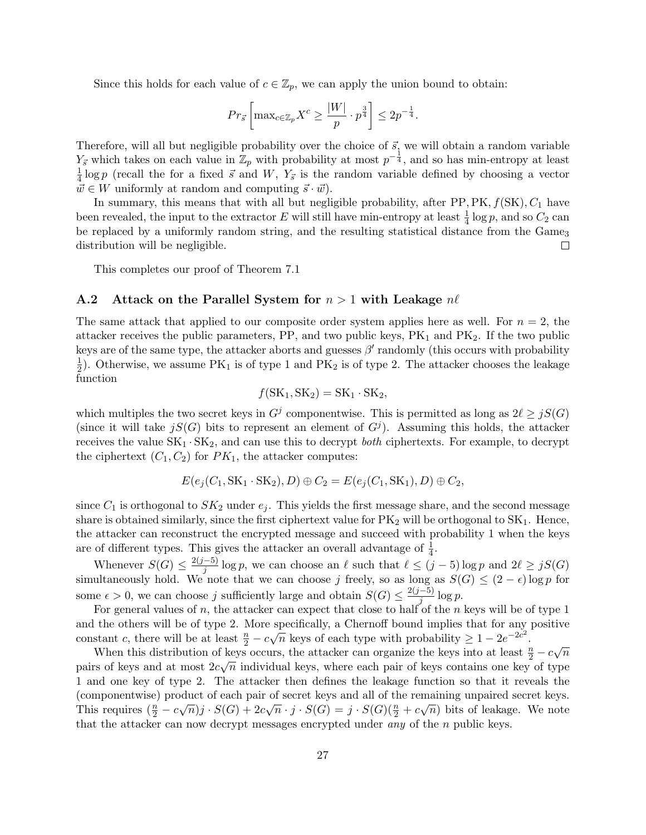Since this holds for each value of  $c \in \mathbb{Z}_p$ , we can apply the union bound to obtain:

$$
Pr_{\vec{s}}\left[\max_{c \in \mathbb{Z}_p} X^c \ge \frac{|W|}{p} \cdot p^{\frac{3}{4}}\right] \le 2p^{-\frac{1}{4}}.
$$

Therefore, will all but negligible probability over the choice of  $\vec{s}$ , we will obtain a random variable  $Y_{\vec{s}}$  which takes on each value in  $\mathbb{Z}_p$  with probability at most  $p^{-\frac{1}{4}}$ , and so has min-entropy at least 1  $\frac{1}{4}$ log p (recall the for a fixed  $\vec{s}$  and  $W$ ,  $Y_{\vec{s}}$  is the random variable defined by choosing a vector  $\vec{w} \in W$  uniformly at random and computing  $\vec{s} \cdot \vec{w}$ .

In summary, this means that with all but negligible probability, after  $PP, PK, f(SK), C<sub>1</sub>$  have been revealed, the input to the extractor E will still have min-entropy at least  $\frac{1}{4} \log p$ , and so  $C_2$  can be replaced by a uniformly random string, and the resulting statistical distance from the Game<sub>3</sub> distribution will be negligible.  $\Box$ 

This completes our proof of Theorem 7.1

#### A.2 Attack on the Parallel System for  $n > 1$  with Leakage  $n\ell$

The same attack that applied to our composite order system applies here as well. For  $n = 2$ , the attacker receives the public parameters,  $PP$ , and two public keys,  $PK_1$  and  $PK_2$ . If the two public keys are of the same type, the attacker aborts and guesses  $\beta'$  randomly (this occurs with probability 1  $\frac{1}{2}$ ). Otherwise, we assume PK<sub>1</sub> is of type 1 and PK<sub>2</sub> is of type 2. The attacker chooses the leakage function

$$
f(SK_1, SK_2) = SK_1 \cdot SK_2,
$$

which multiples the two secret keys in  $G^j$  componentwise. This is permitted as long as  $2\ell \geq jS(G)$ (since it will take  $jS(G)$  bits to represent an element of  $G<sup>j</sup>$ ). Assuming this holds, the attacker receives the value  $SK_1 \cdot SK_2$ , and can use this to decrypt *both* ciphertexts. For example, to decrypt the ciphertext  $(C_1, C_2)$  for  $PK_1$ , the attacker computes:

$$
E(e_j(C_1, SK_1 \cdot SK_2), D) \oplus C_2 = E(e_j(C_1, SK_1), D) \oplus C_2,
$$

since  $C_1$  is orthogonal to  $SK_2$  under  $e_j$ . This yields the first message share, and the second message share is obtained similarly, since the first ciphertext value for  $PK<sub>2</sub>$  will be orthogonal to  $SK<sub>1</sub>$ . Hence, the attacker can reconstruct the encrypted message and succeed with probability 1 when the keys are of different types. This gives the attacker an overall advantage of  $\frac{1}{4}$ .

Whenever  $S(G) \leq \frac{2(j-5)}{i}$  $\frac{(-5)}{j}$  log p, we can choose an  $\ell$  such that  $\ell \leq (j-5)$  log p and  $2\ell \geq jS(G)$ simultaneously hold. We note that we can choose j freely, so as long as  $S(G) \leq (2 - \epsilon) \log p$  for some  $\epsilon > 0$ , we can choose j sufficiently large and obtain  $S(G) \leq \frac{2(j-5)}{i}$  $\frac{-\vartheta}{j} \log p.$ 

For general values of n, the attacker can expect that close to half of the n keys will be of type 1 and the others will be of type 2. More specifically, a Chernoff bound implies that for any positive constant c, there will be at least  $\frac{n}{2} - c\sqrt{n}$  keys of each type with probability  $\geq 1 - 2e^{-2c^2}$ .

When this distribution of keys occurs, the attacker can organize the keys into at least  $\frac{n}{2} - c\sqrt{n}$ <br>When this distribution of keys occurs, the attacker can organize the keys into at least  $\frac{n}{2} - c\sqrt{n}$ pairs of keys and at most  $2c\sqrt{n}$  individual keys, where each pair of keys contains one key of type 1 and one key of type 2. The attacker then defines the leakage function so that it reveals the (componentwise) product of each pair of secret keys and all of the remaining unpaired secret keys. This requires  $(\frac{n}{2} - c\sqrt{n})j \cdot S(G) + 2c\sqrt{n} \cdot j \cdot S(G) = j \cdot S(G)(\frac{n}{2} + c\sqrt{n})$  bits of leakage. We note that the attacker can now decrypt messages encrypted under any of the n public keys.